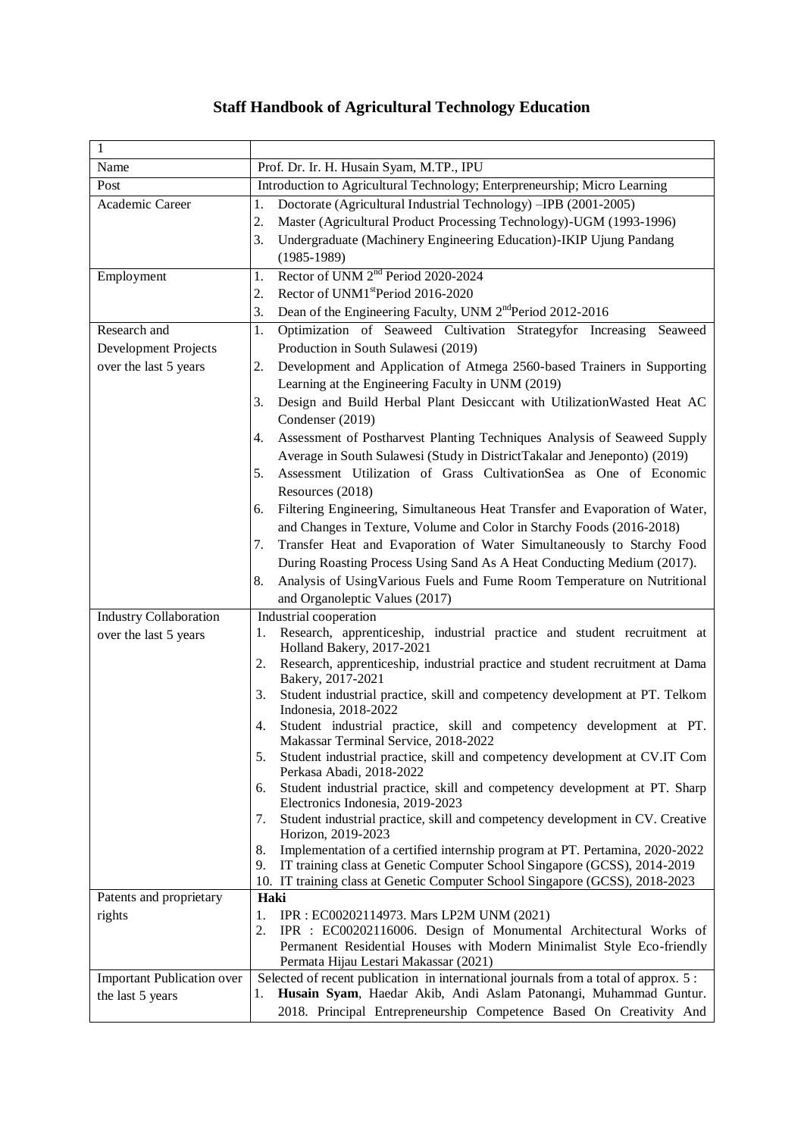## **Staff Handbook of Agricultural Technology Education**

| $\mathbf{1}$                      |                                                                                                                                    |  |  |
|-----------------------------------|------------------------------------------------------------------------------------------------------------------------------------|--|--|
| Name                              | Prof. Dr. Ir. H. Husain Syam, M.TP., IPU                                                                                           |  |  |
| Post                              | Introduction to Agricultural Technology; Enterpreneurship; Micro Learning                                                          |  |  |
| Academic Career                   | Doctorate (Agricultural Industrial Technology) -IPB (2001-2005)<br>1.                                                              |  |  |
|                                   | 2.<br>Master (Agricultural Product Processing Technology)-UGM (1993-1996)                                                          |  |  |
|                                   |                                                                                                                                    |  |  |
|                                   | Undergraduate (Machinery Engineering Education)-IKIP Ujung Pandang<br>3.                                                           |  |  |
|                                   | $(1985-1989)$                                                                                                                      |  |  |
| Employment                        | Rector of UNM 2 <sup>nd</sup> Period 2020-2024<br>1.                                                                               |  |  |
|                                   | Rector of UNM1 <sup>st</sup> Period 2016-2020<br>2.                                                                                |  |  |
|                                   | Dean of the Engineering Faculty, UNM 2 <sup>nd</sup> Period 2012-2016<br>3.                                                        |  |  |
| Research and                      | Optimization of Seaweed Cultivation Strategyfor Increasing Seaweed<br>1.                                                           |  |  |
| Development Projects              | Production in South Sulawesi (2019)                                                                                                |  |  |
| over the last 5 years             | Development and Application of Atmega 2560-based Trainers in Supporting<br>2.<br>Learning at the Engineering Faculty in UNM (2019) |  |  |
|                                   | Design and Build Herbal Plant Desiccant with Utilization Wasted Heat AC<br>3.                                                      |  |  |
|                                   | Condenser (2019)                                                                                                                   |  |  |
|                                   | Assessment of Postharvest Planting Techniques Analysis of Seaweed Supply<br>4.                                                     |  |  |
|                                   | Average in South Sulawesi (Study in DistrictTakalar and Jeneponto) (2019)                                                          |  |  |
|                                   | Assessment Utilization of Grass CultivationSea as One of Economic<br>5.                                                            |  |  |
|                                   | Resources (2018)                                                                                                                   |  |  |
|                                   | Filtering Engineering, Simultaneous Heat Transfer and Evaporation of Water,<br>6.                                                  |  |  |
|                                   | and Changes in Texture, Volume and Color in Starchy Foods (2016-2018)                                                              |  |  |
|                                   | Transfer Heat and Evaporation of Water Simultaneously to Starchy Food<br>7.                                                        |  |  |
|                                   | During Roasting Process Using Sand As A Heat Conducting Medium (2017).                                                             |  |  |
|                                   | Analysis of UsingVarious Fuels and Fume Room Temperature on Nutritional<br>8.                                                      |  |  |
|                                   | and Organoleptic Values (2017)                                                                                                     |  |  |
| <b>Industry Collaboration</b>     | Industrial cooperation                                                                                                             |  |  |
| over the last 5 years             | Research, apprenticeship, industrial practice and student recruitment at<br>1.                                                     |  |  |
|                                   | Holland Bakery, 2017-2021<br>2.<br>Research, apprenticeship, industrial practice and student recruitment at Dama                   |  |  |
|                                   | Bakery, 2017-2021                                                                                                                  |  |  |
|                                   | Student industrial practice, skill and competency development at PT. Telkom<br>3.<br>Indonesia, 2018-2022                          |  |  |
|                                   | Student industrial practice, skill and competency development at PT.<br>4.                                                         |  |  |
|                                   | Makassar Terminal Service, 2018-2022                                                                                               |  |  |
|                                   | 5.<br>Student industrial practice, skill and competency development at CV.IT Com                                                   |  |  |
|                                   | Perkasa Abadi, 2018-2022                                                                                                           |  |  |
|                                   | Student industrial practice, skill and competency development at PT. Sharp<br>6.<br>Electronics Indonesia, 2019-2023               |  |  |
|                                   | Student industrial practice, skill and competency development in CV. Creative<br>7.                                                |  |  |
|                                   | Horizon, 2019-2023                                                                                                                 |  |  |
|                                   | Implementation of a certified internship program at PT. Pertamina, 2020-2022<br>8.                                                 |  |  |
|                                   | IT training class at Genetic Computer School Singapore (GCSS), 2014-2019<br>9.                                                     |  |  |
|                                   | 10. IT training class at Genetic Computer School Singapore (GCSS), 2018-2023                                                       |  |  |
| Patents and proprietary           | Haki                                                                                                                               |  |  |
| rights                            | 1.<br>IPR : EC00202114973. Mars LP2M UNM (2021)                                                                                    |  |  |
|                                   | IPR : EC00202116006. Design of Monumental Architectural Works of<br>2.                                                             |  |  |
|                                   | Permanent Residential Houses with Modern Minimalist Style Eco-friendly<br>Permata Hijau Lestari Makassar (2021)                    |  |  |
| <b>Important Publication over</b> | Selected of recent publication in international journals from a total of approx. 5:                                                |  |  |
| the last 5 years                  | Husain Syam, Haedar Akib, Andi Aslam Patonangi, Muhammad Guntur.<br>1.                                                             |  |  |
|                                   | 2018. Principal Entrepreneurship Competence Based On Creativity And                                                                |  |  |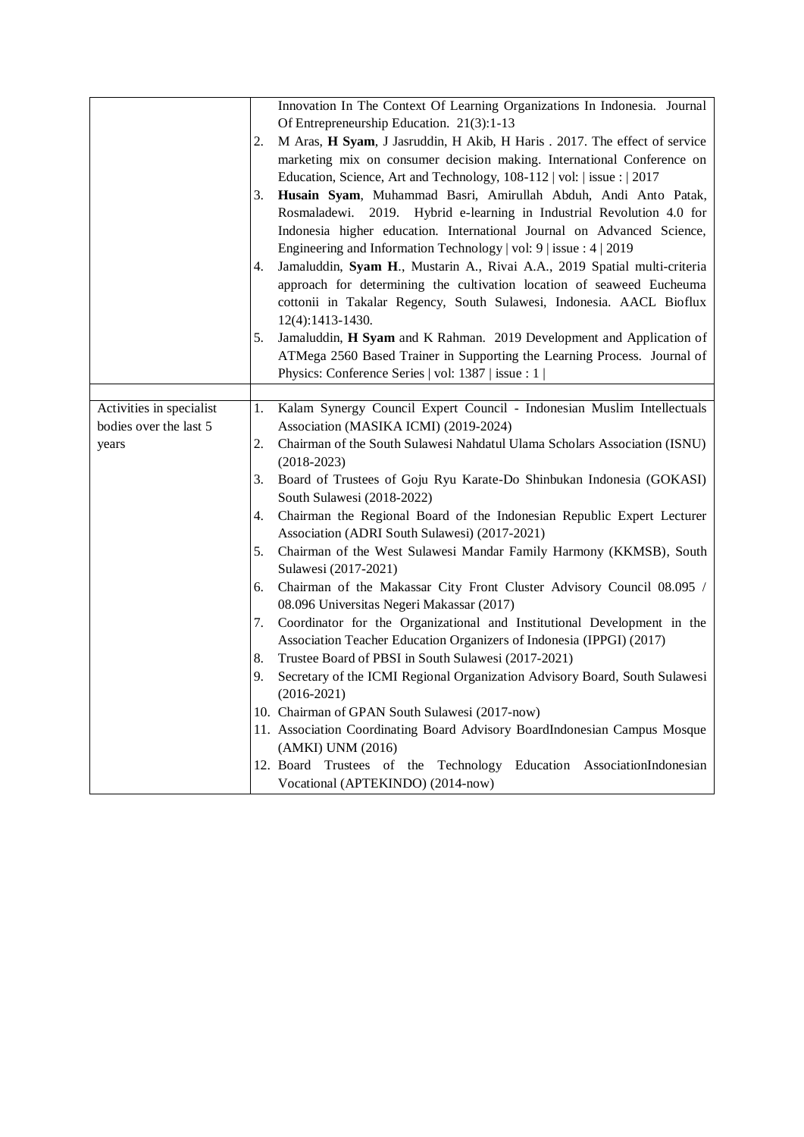|                          |    | Innovation In The Context Of Learning Organizations In Indonesia. Journal  |
|--------------------------|----|----------------------------------------------------------------------------|
|                          |    | Of Entrepreneurship Education. 21(3):1-13                                  |
|                          | 2. | M Aras, H Syam, J Jasruddin, H Akib, H Haris . 2017. The effect of service |
|                          |    | marketing mix on consumer decision making. International Conference on     |
|                          |    | Education, Science, Art and Technology, 108-112   vol:   issue :   2017    |
|                          | 3. | Husain Syam, Muhammad Basri, Amirullah Abduh, Andi Anto Patak,             |
|                          |    | Rosmaladewi.<br>2019. Hybrid e-learning in Industrial Revolution 4.0 for   |
|                          |    | Indonesia higher education. International Journal on Advanced Science,     |
|                          |    | Engineering and Information Technology   vol: 9   issue: 4   2019          |
|                          | 4. | Jamaluddin, Syam H., Mustarin A., Rivai A.A., 2019 Spatial multi-criteria  |
|                          |    | approach for determining the cultivation location of seaweed Eucheuma      |
|                          |    | cottonii in Takalar Regency, South Sulawesi, Indonesia. AACL Bioflux       |
|                          |    |                                                                            |
|                          |    | 12(4):1413-1430.                                                           |
|                          | 5. | Jamaluddin, H Syam and K Rahman. 2019 Development and Application of       |
|                          |    | ATMega 2560 Based Trainer in Supporting the Learning Process. Journal of   |
|                          |    | Physics: Conference Series   vol: 1387   issue : 1                         |
| Activities in specialist | 1. | Kalam Synergy Council Expert Council - Indonesian Muslim Intellectuals     |
| bodies over the last 5   |    | Association (MASIKA ICMI) (2019-2024)                                      |
|                          |    |                                                                            |
| years                    | 2. | Chairman of the South Sulawesi Nahdatul Ulama Scholars Association (ISNU)  |
|                          |    | $(2018-2023)$                                                              |
|                          | 3. | Board of Trustees of Goju Ryu Karate-Do Shinbukan Indonesia (GOKASI)       |
|                          |    | South Sulawesi (2018-2022)                                                 |
|                          | 4. | Chairman the Regional Board of the Indonesian Republic Expert Lecturer     |
|                          |    | Association (ADRI South Sulawesi) (2017-2021)                              |
|                          | 5. | Chairman of the West Sulawesi Mandar Family Harmony (KKMSB), South         |
|                          |    | Sulawesi (2017-2021)                                                       |
|                          | 6. | Chairman of the Makassar City Front Cluster Advisory Council 08.095 /      |
|                          |    | 08.096 Universitas Negeri Makassar (2017)                                  |
|                          | 7. | Coordinator for the Organizational and Institutional Development in the    |
|                          |    | Association Teacher Education Organizers of Indonesia (IPPGI) (2017)       |
|                          | 8. | Trustee Board of PBSI in South Sulawesi (2017-2021)                        |
|                          | 9. | Secretary of the ICMI Regional Organization Advisory Board, South Sulawesi |
|                          |    | $(2016 - 2021)$                                                            |
|                          |    | 10. Chairman of GPAN South Sulawesi (2017-now)                             |
|                          |    | 11. Association Coordinating Board Advisory BoardIndonesian Campus Mosque  |
|                          |    | (AMKI) UNM (2016)                                                          |
|                          |    | 12. Board Trustees of the Technology Education AssociationIndonesian       |
|                          |    | Vocational (APTEKINDO) (2014-now)                                          |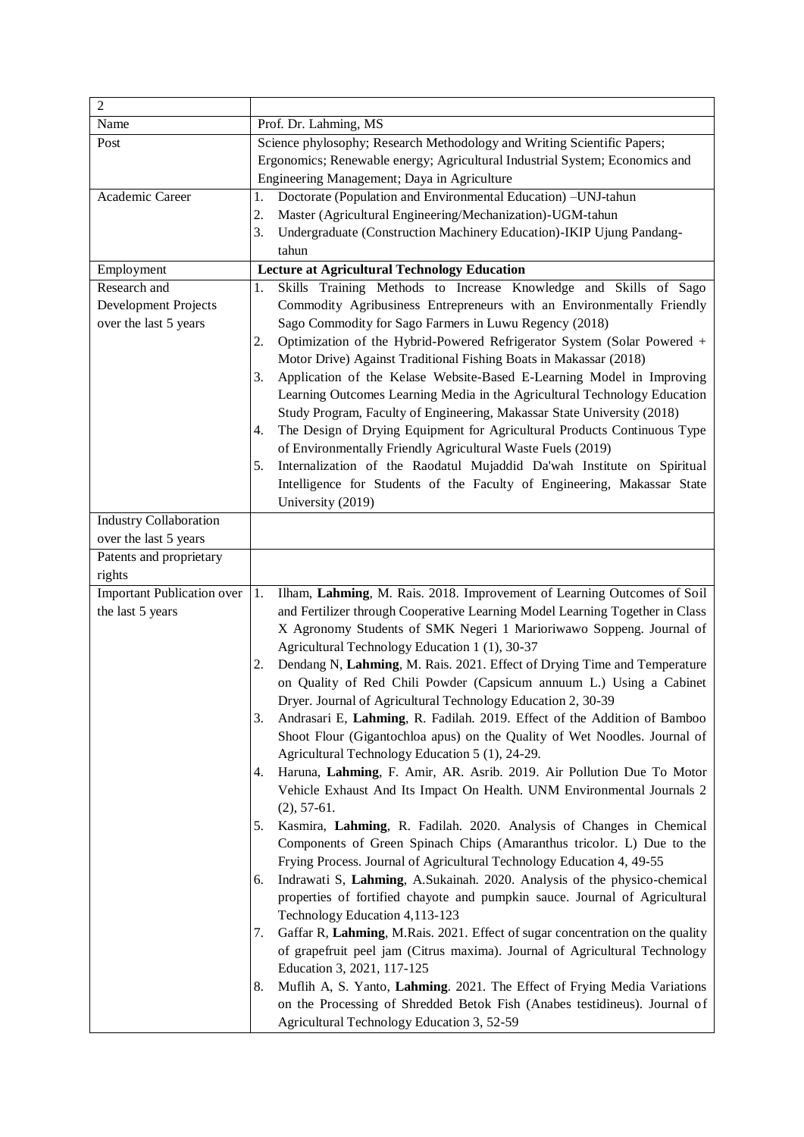| $\overline{2}$                    |                                                                                     |  |  |
|-----------------------------------|-------------------------------------------------------------------------------------|--|--|
| Name                              | Prof. Dr. Lahming, MS                                                               |  |  |
| Post                              | Science phylosophy; Research Methodology and Writing Scientific Papers;             |  |  |
|                                   | Ergonomics; Renewable energy; Agricultural Industrial System; Economics and         |  |  |
|                                   | Engineering Management; Daya in Agriculture                                         |  |  |
| Academic Career                   | Doctorate (Population and Environmental Education) -UNJ-tahun<br>1.                 |  |  |
|                                   | 2.<br>Master (Agricultural Engineering/Mechanization)-UGM-tahun                     |  |  |
|                                   | Undergraduate (Construction Machinery Education)-IKIP Ujung Pandang-<br>3.          |  |  |
|                                   | tahun                                                                               |  |  |
| Employment                        | <b>Lecture at Agricultural Technology Education</b>                                 |  |  |
| Research and                      | Skills Training Methods to Increase Knowledge and Skills of Sago<br>1.              |  |  |
| Development Projects              | Commodity Agribusiness Entrepreneurs with an Environmentally Friendly               |  |  |
| over the last 5 years             | Sago Commodity for Sago Farmers in Luwu Regency (2018)                              |  |  |
|                                   | Optimization of the Hybrid-Powered Refrigerator System (Solar Powered +<br>2.       |  |  |
|                                   | Motor Drive) Against Traditional Fishing Boats in Makassar (2018)                   |  |  |
|                                   | Application of the Kelase Website-Based E-Learning Model in Improving<br>3.         |  |  |
|                                   | Learning Outcomes Learning Media in the Agricultural Technology Education           |  |  |
|                                   | Study Program, Faculty of Engineering, Makassar State University (2018)             |  |  |
|                                   | The Design of Drying Equipment for Agricultural Products Continuous Type<br>4.      |  |  |
|                                   | of Environmentally Friendly Agricultural Waste Fuels (2019)                         |  |  |
|                                   | Internalization of the Raodatul Mujaddid Da'wah Institute on Spiritual<br>5.        |  |  |
|                                   | Intelligence for Students of the Faculty of Engineering, Makassar State             |  |  |
|                                   | University (2019)                                                                   |  |  |
| <b>Industry Collaboration</b>     |                                                                                     |  |  |
| over the last 5 years             |                                                                                     |  |  |
| Patents and proprietary           |                                                                                     |  |  |
| rights                            |                                                                                     |  |  |
| <b>Important Publication over</b> | Ilham, Lahming, M. Rais. 2018. Improvement of Learning Outcomes of Soil<br>1.       |  |  |
| the last 5 years                  | and Fertilizer through Cooperative Learning Model Learning Together in Class        |  |  |
|                                   | X Agronomy Students of SMK Negeri 1 Marioriwawo Soppeng. Journal of                 |  |  |
|                                   | Agricultural Technology Education 1 (1), 30-37                                      |  |  |
|                                   | Dendang N, Lahming, M. Rais. 2021. Effect of Drying Time and Temperature<br>2.      |  |  |
|                                   | on Quality of Red Chili Powder (Capsicum annuum L.) Using a Cabinet                 |  |  |
|                                   | Dryer. Journal of Agricultural Technology Education 2, 30-39                        |  |  |
|                                   | Andrasari E, Lahming, R. Fadilah. 2019. Effect of the Addition of Bamboo<br>3.      |  |  |
|                                   | Shoot Flour (Gigantochloa apus) on the Quality of Wet Noodles. Journal of           |  |  |
|                                   | Agricultural Technology Education 5 (1), 24-29.                                     |  |  |
|                                   | Haruna, Lahming, F. Amir, AR. Asrib. 2019. Air Pollution Due To Motor<br>4.         |  |  |
|                                   | Vehicle Exhaust And Its Impact On Health. UNM Environmental Journals 2              |  |  |
|                                   | $(2), 57-61.$                                                                       |  |  |
|                                   | Kasmira, Lahming, R. Fadilah. 2020. Analysis of Changes in Chemical<br>5.           |  |  |
|                                   | Components of Green Spinach Chips (Amaranthus tricolor. L) Due to the               |  |  |
|                                   | Frying Process. Journal of Agricultural Technology Education 4, 49-55               |  |  |
|                                   | Indrawati S, Lahming, A.Sukainah. 2020. Analysis of the physico-chemical<br>6.      |  |  |
|                                   | properties of fortified chayote and pumpkin sauce. Journal of Agricultural          |  |  |
|                                   | Technology Education 4,113-123                                                      |  |  |
|                                   | Gaffar R, Lahming, M.Rais. 2021. Effect of sugar concentration on the quality<br>7. |  |  |
|                                   | of grapefruit peel jam (Citrus maxima). Journal of Agricultural Technology          |  |  |
|                                   | Education 3, 2021, 117-125                                                          |  |  |
|                                   | Muflih A, S. Yanto, Lahming. 2021. The Effect of Frying Media Variations<br>8.      |  |  |
|                                   | on the Processing of Shredded Betok Fish (Anabes testidineus). Journal of           |  |  |
|                                   | Agricultural Technology Education 3, 52-59                                          |  |  |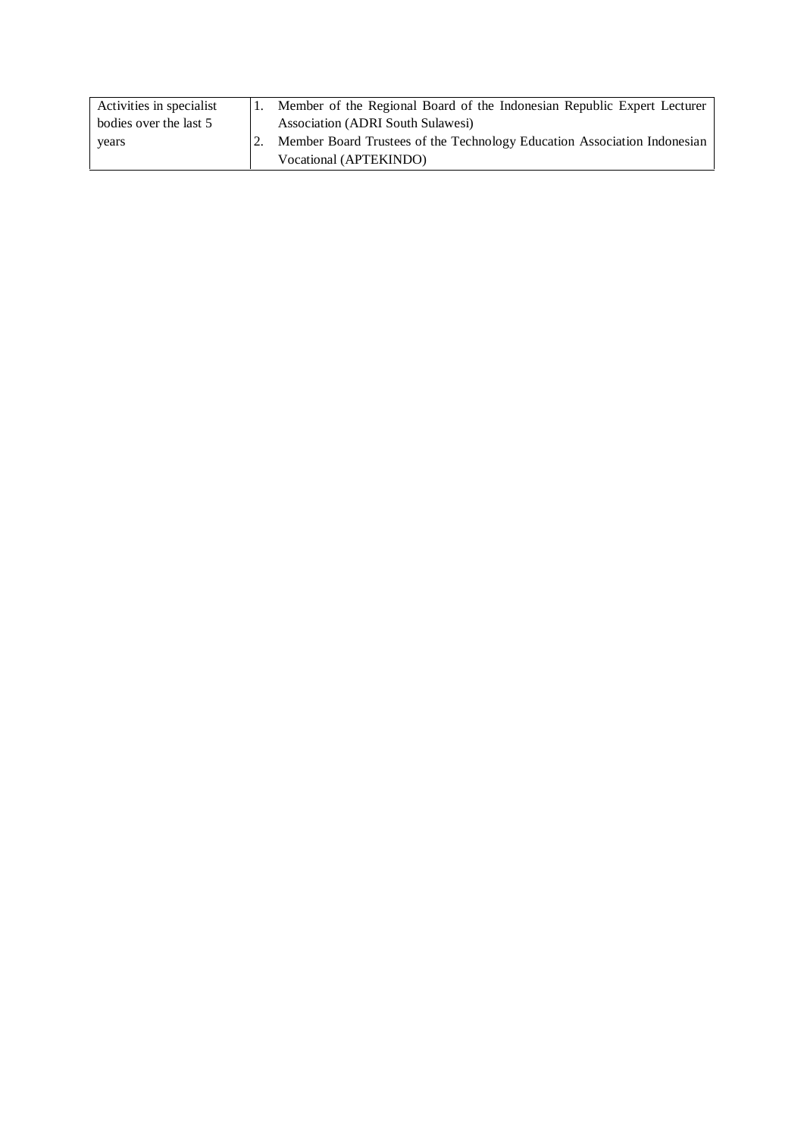| Activities in specialist | Member of the Regional Board of the Indonesian Republic Expert Lecturer  |
|--------------------------|--------------------------------------------------------------------------|
| bodies over the last 5   | Association (ADRI South Sulawesi)                                        |
| years                    | Member Board Trustees of the Technology Education Association Indonesian |
|                          | Vocational (APTEKINDO)                                                   |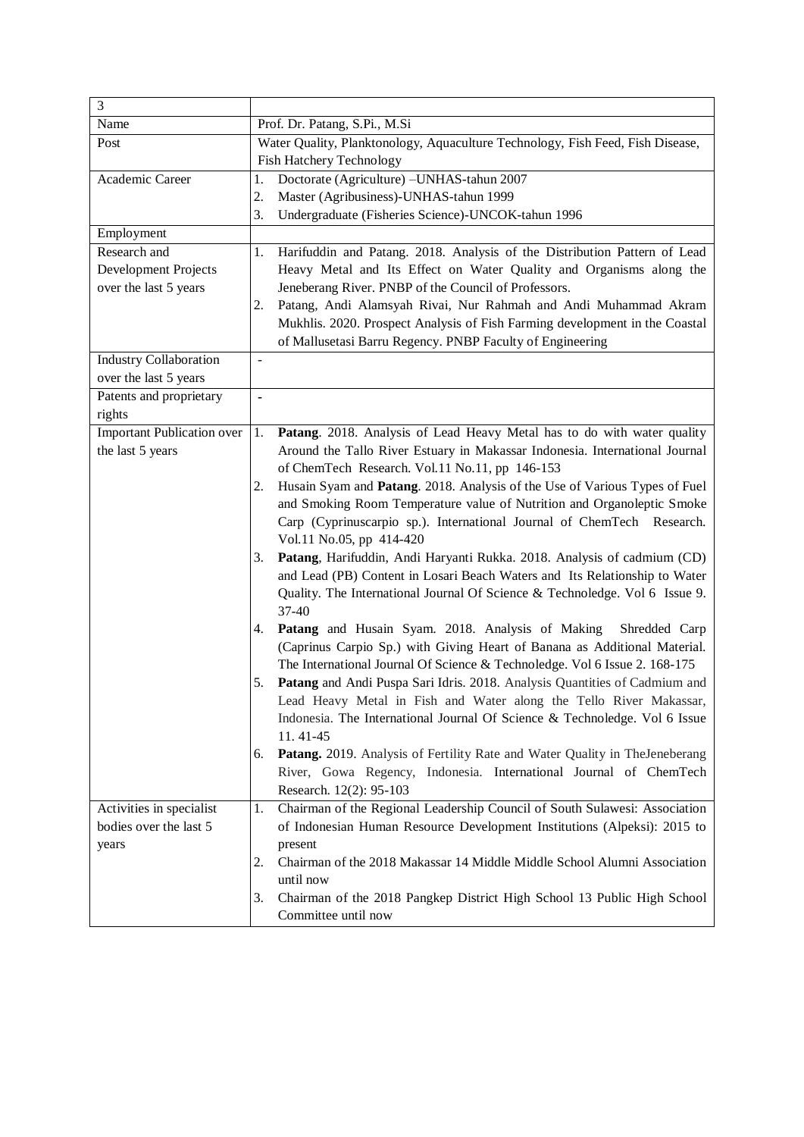| 3                                 |                                                                                   |  |  |
|-----------------------------------|-----------------------------------------------------------------------------------|--|--|
| Name                              | Prof. Dr. Patang, S.Pi., M.Si                                                     |  |  |
| Post                              | Water Quality, Planktonology, Aquaculture Technology, Fish Feed, Fish Disease,    |  |  |
|                                   | <b>Fish Hatchery Technology</b>                                                   |  |  |
| Academic Career                   | Doctorate (Agriculture) - UNHAS-tahun 2007<br>1.                                  |  |  |
|                                   | 2.<br>Master (Agribusiness)-UNHAS-tahun 1999                                      |  |  |
|                                   | Undergraduate (Fisheries Science)-UNCOK-tahun 1996<br>3.                          |  |  |
| Employment                        |                                                                                   |  |  |
| Research and                      | Harifuddin and Patang. 2018. Analysis of the Distribution Pattern of Lead<br>1.   |  |  |
| Development Projects              | Heavy Metal and Its Effect on Water Quality and Organisms along the               |  |  |
| over the last 5 years             | Jeneberang River. PNBP of the Council of Professors.                              |  |  |
|                                   | Patang, Andi Alamsyah Rivai, Nur Rahmah and Andi Muhammad Akram<br>2.             |  |  |
|                                   | Mukhlis. 2020. Prospect Analysis of Fish Farming development in the Coastal       |  |  |
|                                   | of Mallusetasi Barru Regency. PNBP Faculty of Engineering                         |  |  |
| <b>Industry Collaboration</b>     | $\qquad \qquad \blacksquare$                                                      |  |  |
| over the last 5 years             |                                                                                   |  |  |
| Patents and proprietary           | $\overline{\phantom{0}}$                                                          |  |  |
| rights                            |                                                                                   |  |  |
| <b>Important Publication over</b> | Patang. 2018. Analysis of Lead Heavy Metal has to do with water quality<br>1.     |  |  |
| the last 5 years                  | Around the Tallo River Estuary in Makassar Indonesia. International Journal       |  |  |
|                                   | of ChemTech Research. Vol.11 No.11, pp 146-153                                    |  |  |
|                                   | Husain Syam and Patang. 2018. Analysis of the Use of Various Types of Fuel<br>2.  |  |  |
|                                   | and Smoking Room Temperature value of Nutrition and Organoleptic Smoke            |  |  |
|                                   | Carp (Cyprinuscarpio sp.). International Journal of ChemTech Research.            |  |  |
|                                   | Vol.11 No.05, pp 414-420                                                          |  |  |
|                                   | Patang, Harifuddin, Andi Haryanti Rukka. 2018. Analysis of cadmium (CD)<br>3.     |  |  |
|                                   | and Lead (PB) Content in Losari Beach Waters and Its Relationship to Water        |  |  |
|                                   | Quality. The International Journal Of Science & Technoledge. Vol 6 Issue 9.       |  |  |
|                                   | 37-40                                                                             |  |  |
|                                   | Patang and Husain Syam. 2018. Analysis of Making<br>Shredded Carp<br>4.           |  |  |
|                                   | (Caprinus Carpio Sp.) with Giving Heart of Banana as Additional Material.         |  |  |
|                                   | The International Journal Of Science & Technoledge. Vol 6 Issue 2. 168-175        |  |  |
|                                   | Patang and Andi Puspa Sari Idris. 2018. Analysis Quantities of Cadmium and<br>5.  |  |  |
|                                   | Lead Heavy Metal in Fish and Water along the Tello River Makassar,                |  |  |
|                                   | Indonesia. The International Journal Of Science & Technoledge. Vol 6 Issue        |  |  |
|                                   | 11.41-45                                                                          |  |  |
|                                   | Patang. 2019. Analysis of Fertility Rate and Water Quality in TheJeneberang<br>6. |  |  |
|                                   | River, Gowa Regency, Indonesia. International Journal of ChemTech                 |  |  |
|                                   | Research. 12(2): 95-103                                                           |  |  |
| Activities in specialist          | Chairman of the Regional Leadership Council of South Sulawesi: Association<br>1.  |  |  |
| bodies over the last 5            | of Indonesian Human Resource Development Institutions (Alpeksi): 2015 to          |  |  |
| years                             | present                                                                           |  |  |
|                                   | Chairman of the 2018 Makassar 14 Middle Middle School Alumni Association<br>2.    |  |  |
|                                   | until now                                                                         |  |  |
|                                   | Chairman of the 2018 Pangkep District High School 13 Public High School<br>3.     |  |  |
|                                   | Committee until now                                                               |  |  |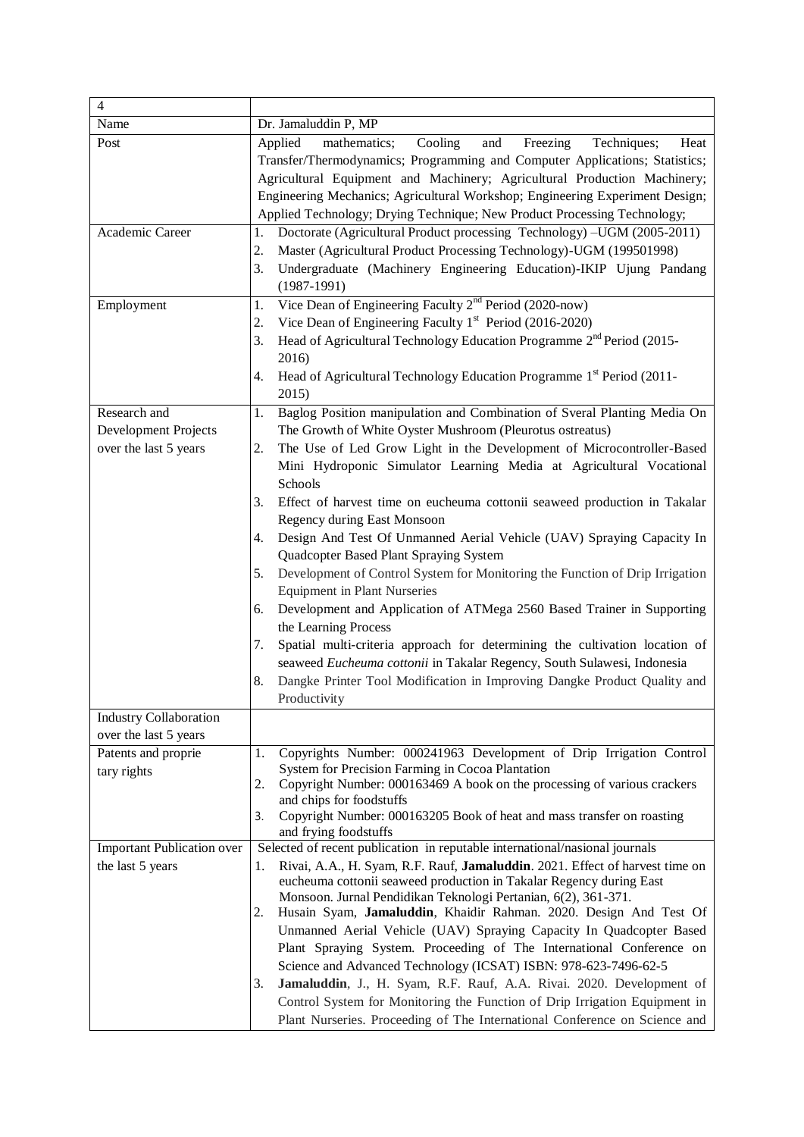| $\overline{4}$                                                |                                                                                                                                                                                                                                                                                                                                                                                                                                                          |
|---------------------------------------------------------------|----------------------------------------------------------------------------------------------------------------------------------------------------------------------------------------------------------------------------------------------------------------------------------------------------------------------------------------------------------------------------------------------------------------------------------------------------------|
| Name                                                          | Dr. Jamaluddin P, MP                                                                                                                                                                                                                                                                                                                                                                                                                                     |
| Post                                                          | Applied<br>Cooling<br>mathematics;<br>and<br>Freezing<br>Techniques;<br>Heat<br>Transfer/Thermodynamics; Programming and Computer Applications; Statistics;<br>Agricultural Equipment and Machinery; Agricultural Production Machinery;<br>Engineering Mechanics; Agricultural Workshop; Engineering Experiment Design;<br>Applied Technology; Drying Technique; New Product Processing Technology;                                                      |
| Academic Career                                               | Doctorate (Agricultural Product processing Technology) -UGM (2005-2011)<br>1.<br>Master (Agricultural Product Processing Technology)-UGM (199501998)<br>2.<br>Undergraduate (Machinery Engineering Education)-IKIP Ujung Pandang<br>3.<br>$(1987-1991)$                                                                                                                                                                                                  |
| Employment                                                    | Vice Dean of Engineering Faculty $2nd$ Period (2020-now)<br>1.<br>Vice Dean of Engineering Faculty $1st$ Period (2016-2020)<br>2.<br>Head of Agricultural Technology Education Programme $2nd$ Period (2015-<br>3.<br>2016)<br>Head of Agricultural Technology Education Programme 1 <sup>st</sup> Period (2011-<br>4.<br>2015)                                                                                                                          |
| Research and<br>Development Projects<br>over the last 5 years | Baglog Position manipulation and Combination of Sveral Planting Media On<br>1.<br>The Growth of White Oyster Mushroom (Pleurotus ostreatus)<br>The Use of Led Grow Light in the Development of Microcontroller-Based<br>2.<br>Mini Hydroponic Simulator Learning Media at Agricultural Vocational                                                                                                                                                        |
|                                                               | Schools<br>Effect of harvest time on eucheuma cottonii seaweed production in Takalar<br>3.<br>Regency during East Monsoon                                                                                                                                                                                                                                                                                                                                |
|                                                               | Design And Test Of Unmanned Aerial Vehicle (UAV) Spraying Capacity In<br>4.<br>Quadcopter Based Plant Spraying System                                                                                                                                                                                                                                                                                                                                    |
|                                                               | Development of Control System for Monitoring the Function of Drip Irrigation<br>5.<br><b>Equipment in Plant Nurseries</b>                                                                                                                                                                                                                                                                                                                                |
|                                                               | Development and Application of ATMega 2560 Based Trainer in Supporting<br>6.<br>the Learning Process                                                                                                                                                                                                                                                                                                                                                     |
|                                                               | Spatial multi-criteria approach for determining the cultivation location of<br>7.<br>seaweed Eucheuma cottonii in Takalar Regency, South Sulawesi, Indonesia<br>Dangke Printer Tool Modification in Improving Dangke Product Quality and<br>8.<br>Productivity                                                                                                                                                                                           |
| <b>Industry Collaboration</b>                                 |                                                                                                                                                                                                                                                                                                                                                                                                                                                          |
| over the last 5 years                                         |                                                                                                                                                                                                                                                                                                                                                                                                                                                          |
| Patents and proprie<br>tary rights                            | Copyrights Number: 000241963 Development of Drip Irrigation Control<br>1.<br>System for Precision Farming in Cocoa Plantation<br>Copyright Number: 000163469 A book on the processing of various crackers<br>2.<br>and chips for foodstuffs<br>Copyright Number: 000163205 Book of heat and mass transfer on roasting<br>3.                                                                                                                              |
|                                                               | and frying foodstuffs                                                                                                                                                                                                                                                                                                                                                                                                                                    |
| <b>Important Publication over</b><br>the last 5 years         | Selected of recent publication in reputable international/nasional journals<br>Rivai, A.A., H. Syam, R.F. Rauf, Jamaluddin. 2021. Effect of harvest time on<br>1.<br>eucheuma cottonii seaweed production in Takalar Regency during East<br>Monsoon. Jurnal Pendidikan Teknologi Pertanian, 6(2), 361-371.<br>Husain Syam, Jamaluddin, Khaidir Rahman. 2020. Design And Test Of<br>2.                                                                    |
|                                                               | Unmanned Aerial Vehicle (UAV) Spraying Capacity In Quadcopter Based<br>Plant Spraying System. Proceeding of The International Conference on<br>Science and Advanced Technology (ICSAT) ISBN: 978-623-7496-62-5<br>Jamaluddin, J., H. Syam, R.F. Rauf, A.A. Rivai. 2020. Development of<br>3.<br>Control System for Monitoring the Function of Drip Irrigation Equipment in<br>Plant Nurseries. Proceeding of The International Conference on Science and |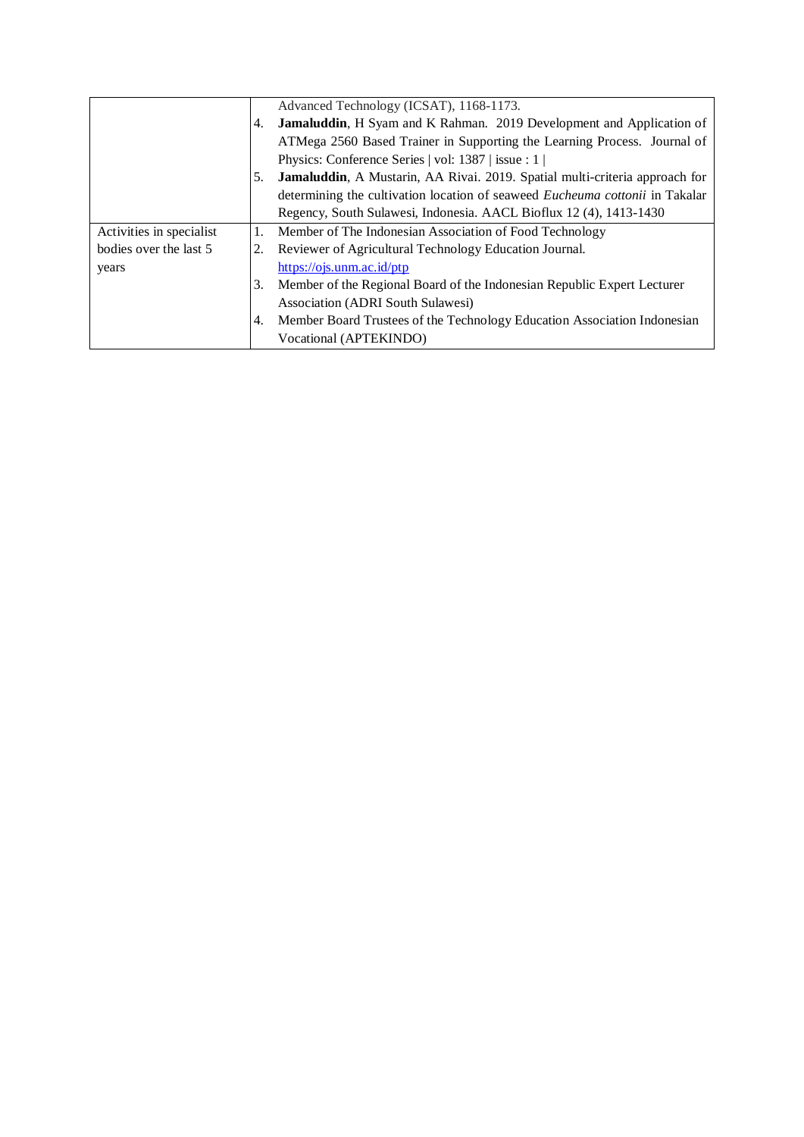|                          |    | Advanced Technology (ICSAT), 1168-1173.                                             |
|--------------------------|----|-------------------------------------------------------------------------------------|
|                          | 4. | <b>Jamaluddin, H</b> Syam and K Rahman. 2019 Development and Application of         |
|                          |    | ATMega 2560 Based Trainer in Supporting the Learning Process. Journal of            |
|                          |    | Physics: Conference Series   vol: 1387   issue : 1                                  |
|                          | 5. | Jamaluddin, A Mustarin, AA Rivai. 2019. Spatial multi-criteria approach for         |
|                          |    | determining the cultivation location of seaweed <i>Eucheuma cottonii</i> in Takalar |
|                          |    | Regency, South Sulawesi, Indonesia. AACL Bioflux 12 (4), 1413-1430                  |
| Activities in specialist |    | Member of The Indonesian Association of Food Technology                             |
| bodies over the last 5   | 2. | Reviewer of Agricultural Technology Education Journal.                              |
| years                    |    | https://ojs.unm.ac.id/ptp                                                           |
|                          | 3. | Member of the Regional Board of the Indonesian Republic Expert Lecturer             |
|                          |    | Association (ADRI South Sulawesi)                                                   |
|                          | 4. | Member Board Trustees of the Technology Education Association Indonesian            |
|                          |    | Vocational (APTEKINDO)                                                              |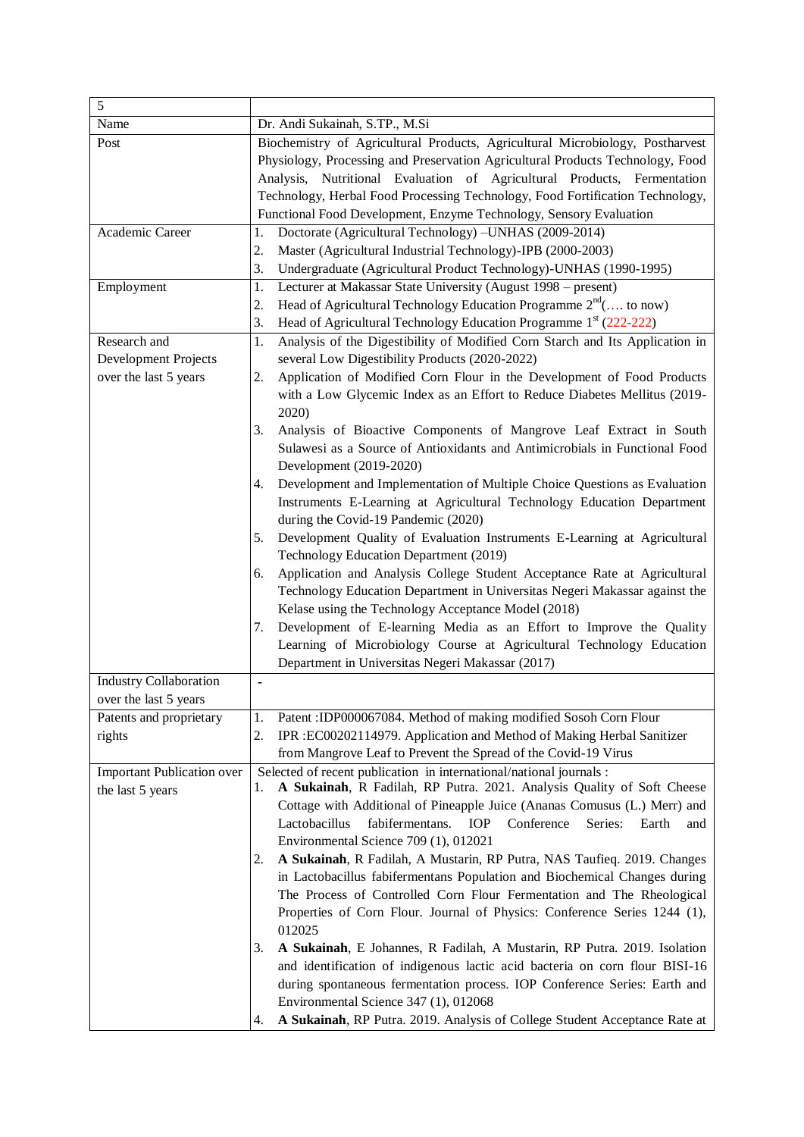| 5                                                             |                                                                                                                                                                                                                                                                                                                                                                                                                                                                                                                                                                                                                                                                                                                                                                                                                                                                                                                                                                                                                                                                                                                                                                                                             |
|---------------------------------------------------------------|-------------------------------------------------------------------------------------------------------------------------------------------------------------------------------------------------------------------------------------------------------------------------------------------------------------------------------------------------------------------------------------------------------------------------------------------------------------------------------------------------------------------------------------------------------------------------------------------------------------------------------------------------------------------------------------------------------------------------------------------------------------------------------------------------------------------------------------------------------------------------------------------------------------------------------------------------------------------------------------------------------------------------------------------------------------------------------------------------------------------------------------------------------------------------------------------------------------|
| Name                                                          | Dr. Andi Sukainah, S.TP., M.Si                                                                                                                                                                                                                                                                                                                                                                                                                                                                                                                                                                                                                                                                                                                                                                                                                                                                                                                                                                                                                                                                                                                                                                              |
| Post                                                          | Biochemistry of Agricultural Products, Agricultural Microbiology, Postharvest<br>Physiology, Processing and Preservation Agricultural Products Technology, Food<br>Analysis, Nutritional Evaluation of Agricultural Products, Fermentation<br>Technology, Herbal Food Processing Technology, Food Fortification Technology,<br>Functional Food Development, Enzyme Technology, Sensory Evaluation                                                                                                                                                                                                                                                                                                                                                                                                                                                                                                                                                                                                                                                                                                                                                                                                           |
| Academic Career                                               | Doctorate (Agricultural Technology) -UNHAS (2009-2014)<br>1.<br>Master (Agricultural Industrial Technology)-IPB (2000-2003)<br>2.<br>3.<br>Undergraduate (Agricultural Product Technology)-UNHAS (1990-1995)                                                                                                                                                                                                                                                                                                                                                                                                                                                                                                                                                                                                                                                                                                                                                                                                                                                                                                                                                                                                |
| Employment                                                    | Lecturer at Makassar State University (August 1998 – present)<br>1.<br>Head of Agricultural Technology Education Programme $2^{nd}$ ( to now)<br>2.<br>Head of Agricultural Technology Education Programme 1 <sup>st</sup> (222-222)<br>3.                                                                                                                                                                                                                                                                                                                                                                                                                                                                                                                                                                                                                                                                                                                                                                                                                                                                                                                                                                  |
| Research and<br>Development Projects<br>over the last 5 years | Analysis of the Digestibility of Modified Corn Starch and Its Application in<br>1.<br>several Low Digestibility Products (2020-2022)<br>2.<br>Application of Modified Corn Flour in the Development of Food Products<br>with a Low Glycemic Index as an Effort to Reduce Diabetes Mellitus (2019-<br>2020)<br>3.<br>Analysis of Bioactive Components of Mangrove Leaf Extract in South<br>Sulawesi as a Source of Antioxidants and Antimicrobials in Functional Food<br>Development (2019-2020)<br>Development and Implementation of Multiple Choice Questions as Evaluation<br>4.<br>Instruments E-Learning at Agricultural Technology Education Department<br>during the Covid-19 Pandemic (2020)<br>Development Quality of Evaluation Instruments E-Learning at Agricultural<br>5.<br>Technology Education Department (2019)<br>Application and Analysis College Student Acceptance Rate at Agricultural<br>6.<br>Technology Education Department in Universitas Negeri Makassar against the<br>Kelase using the Technology Acceptance Model (2018)<br>Development of E-learning Media as an Effort to Improve the Quality<br>7.<br>Learning of Microbiology Course at Agricultural Technology Education |
| <b>Industry Collaboration</b><br>over the last 5 years        | Department in Universitas Negeri Makassar (2017)<br>$\blacksquare$                                                                                                                                                                                                                                                                                                                                                                                                                                                                                                                                                                                                                                                                                                                                                                                                                                                                                                                                                                                                                                                                                                                                          |
| Patents and proprietary<br>rights                             | Patent : IDP000067084. Method of making modified Sosoh Corn Flour<br>1.<br>IPR : EC00202114979. Application and Method of Making Herbal Sanitizer<br>2.<br>from Mangrove Leaf to Prevent the Spread of the Covid-19 Virus                                                                                                                                                                                                                                                                                                                                                                                                                                                                                                                                                                                                                                                                                                                                                                                                                                                                                                                                                                                   |
| <b>Important Publication over</b><br>the last 5 years         | Selected of recent publication in international/national journals :<br>A Sukainah, R Fadilah, RP Putra. 2021. Analysis Quality of Soft Cheese<br>l.<br>Cottage with Additional of Pineapple Juice (Ananas Comusus (L.) Merr) and<br>Lactobacillus<br>fabifermentans.<br>IOP<br>Conference<br>Series:<br>Earth<br>and<br>Environmental Science 709 (1), 012021<br>A Sukainah, R Fadilah, A Mustarin, RP Putra, NAS Taufieq. 2019. Changes<br>2.<br>in Lactobacillus fabifermentans Population and Biochemical Changes during<br>The Process of Controlled Corn Flour Fermentation and The Rheological<br>Properties of Corn Flour. Journal of Physics: Conference Series 1244 (1),<br>012025<br>A Sukainah, E Johannes, R Fadilah, A Mustarin, RP Putra. 2019. Isolation<br>3.<br>and identification of indigenous lactic acid bacteria on corn flour BISI-16<br>during spontaneous fermentation process. IOP Conference Series: Earth and<br>Environmental Science 347 (1), 012068<br>A Sukainah, RP Putra. 2019. Analysis of College Student Acceptance Rate at<br>4.                                                                                                                                      |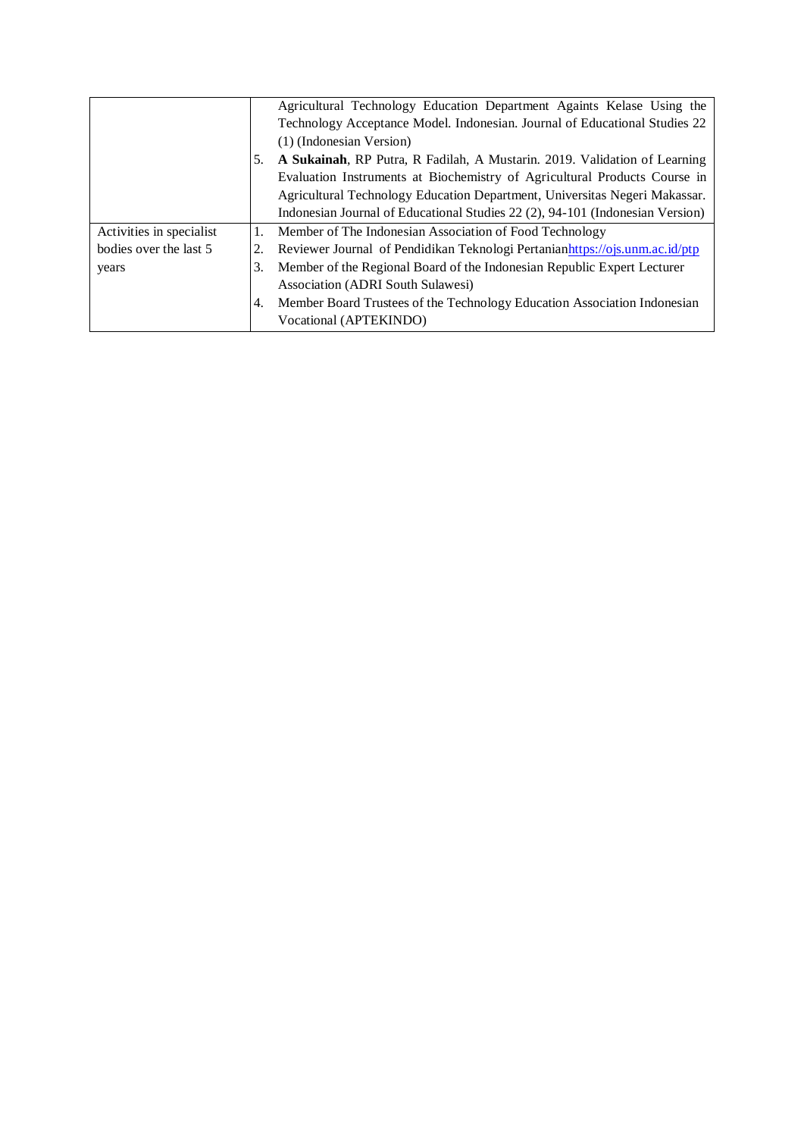|                          |    | Agricultural Technology Education Department Againts Kelase Using the         |
|--------------------------|----|-------------------------------------------------------------------------------|
|                          |    | Technology Acceptance Model. Indonesian. Journal of Educational Studies 22    |
|                          |    | (1) (Indonesian Version)                                                      |
|                          | 5. | A Sukainah, RP Putra, R Fadilah, A Mustarin. 2019. Validation of Learning     |
|                          |    | Evaluation Instruments at Biochemistry of Agricultural Products Course in     |
|                          |    | Agricultural Technology Education Department, Universitas Negeri Makassar.    |
|                          |    | Indonesian Journal of Educational Studies 22 (2), 94-101 (Indonesian Version) |
| Activities in specialist | 1. | Member of The Indonesian Association of Food Technology                       |
| bodies over the last 5   |    | Reviewer Journal of Pendidikan Teknologi Pertanianhttps://ojs.unm.ac.id/ptp   |
| years                    | 3. | Member of the Regional Board of the Indonesian Republic Expert Lecturer       |
|                          |    | Association (ADRI South Sulawesi)                                             |
|                          | 4. | Member Board Trustees of the Technology Education Association Indonesian      |
|                          |    | Vocational (APTEKINDO)                                                        |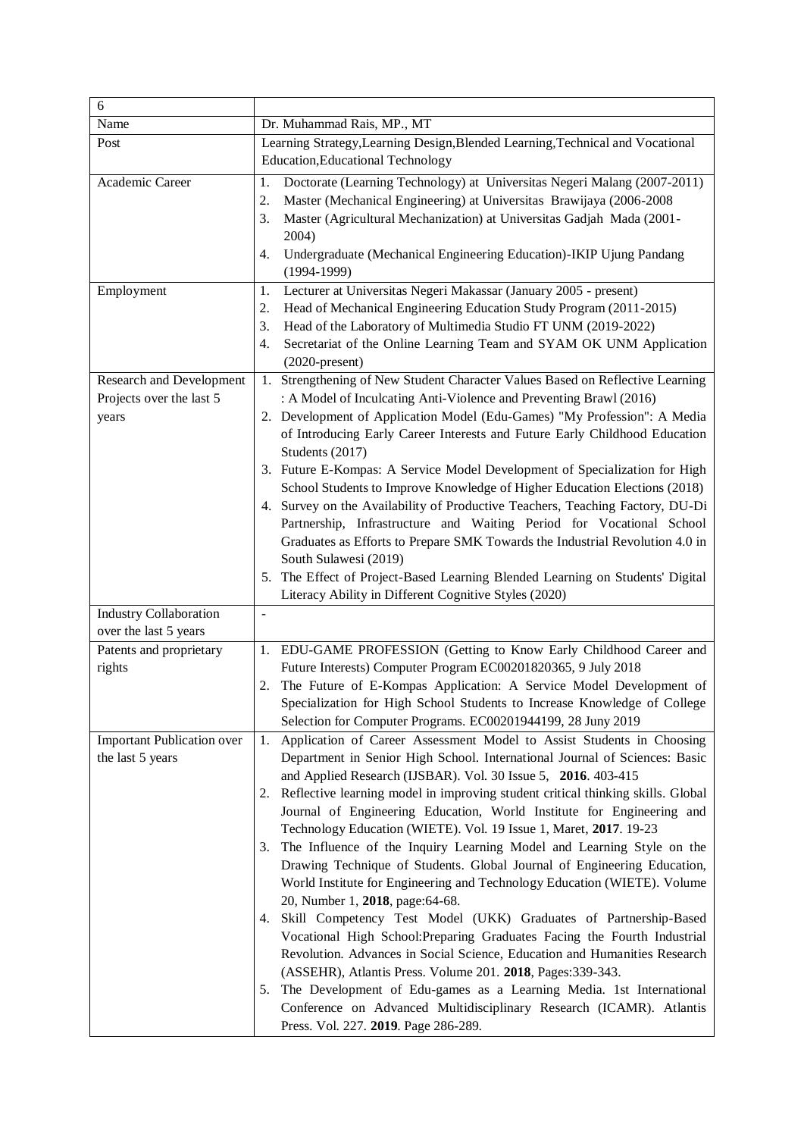| 6                                                                    |                                                                                                                                                                                                                                                                                                                                                                                                                                                                                                                                                                                                                                                                                                                                                                                                                                                                                                                                                                                                                                                                                                                                                                                                  |  |  |
|----------------------------------------------------------------------|--------------------------------------------------------------------------------------------------------------------------------------------------------------------------------------------------------------------------------------------------------------------------------------------------------------------------------------------------------------------------------------------------------------------------------------------------------------------------------------------------------------------------------------------------------------------------------------------------------------------------------------------------------------------------------------------------------------------------------------------------------------------------------------------------------------------------------------------------------------------------------------------------------------------------------------------------------------------------------------------------------------------------------------------------------------------------------------------------------------------------------------------------------------------------------------------------|--|--|
| Name                                                                 | Dr. Muhammad Rais, MP., MT                                                                                                                                                                                                                                                                                                                                                                                                                                                                                                                                                                                                                                                                                                                                                                                                                                                                                                                                                                                                                                                                                                                                                                       |  |  |
| Post                                                                 | Learning Strategy, Learning Design, Blended Learning, Technical and Vocational<br><b>Education, Educational Technology</b>                                                                                                                                                                                                                                                                                                                                                                                                                                                                                                                                                                                                                                                                                                                                                                                                                                                                                                                                                                                                                                                                       |  |  |
| Academic Career                                                      | Doctorate (Learning Technology) at Universitas Negeri Malang (2007-2011)<br>1.<br>Master (Mechanical Engineering) at Universitas Brawijaya (2006-2008<br>2.<br>Master (Agricultural Mechanization) at Universitas Gadjah Mada (2001-<br>3.<br>2004)<br>Undergraduate (Mechanical Engineering Education)-IKIP Ujung Pandang<br>4.<br>$(1994-1999)$                                                                                                                                                                                                                                                                                                                                                                                                                                                                                                                                                                                                                                                                                                                                                                                                                                                |  |  |
| Employment                                                           | Lecturer at Universitas Negeri Makassar (January 2005 - present)<br>1.<br>Head of Mechanical Engineering Education Study Program (2011-2015)<br>2.<br>Head of the Laboratory of Multimedia Studio FT UNM (2019-2022)<br>3.<br>Secretariat of the Online Learning Team and SYAM OK UNM Application<br>4.<br>$(2020$ -present)                                                                                                                                                                                                                                                                                                                                                                                                                                                                                                                                                                                                                                                                                                                                                                                                                                                                     |  |  |
| <b>Research and Development</b><br>Projects over the last 5<br>years | 1. Strengthening of New Student Character Values Based on Reflective Learning<br>: A Model of Inculcating Anti-Violence and Preventing Brawl (2016)<br>2. Development of Application Model (Edu-Games) "My Profession": A Media<br>of Introducing Early Career Interests and Future Early Childhood Education<br>Students (2017)                                                                                                                                                                                                                                                                                                                                                                                                                                                                                                                                                                                                                                                                                                                                                                                                                                                                 |  |  |
|                                                                      | 3. Future E-Kompas: A Service Model Development of Specialization for High<br>School Students to Improve Knowledge of Higher Education Elections (2018)                                                                                                                                                                                                                                                                                                                                                                                                                                                                                                                                                                                                                                                                                                                                                                                                                                                                                                                                                                                                                                          |  |  |
|                                                                      | 4. Survey on the Availability of Productive Teachers, Teaching Factory, DU-Di<br>Partnership, Infrastructure and Waiting Period for Vocational School<br>Graduates as Efforts to Prepare SMK Towards the Industrial Revolution 4.0 in<br>South Sulawesi (2019)<br>5. The Effect of Project-Based Learning Blended Learning on Students' Digital<br>Literacy Ability in Different Cognitive Styles (2020)                                                                                                                                                                                                                                                                                                                                                                                                                                                                                                                                                                                                                                                                                                                                                                                         |  |  |
| <b>Industry Collaboration</b><br>over the last 5 years               | $\overline{\phantom{0}}$                                                                                                                                                                                                                                                                                                                                                                                                                                                                                                                                                                                                                                                                                                                                                                                                                                                                                                                                                                                                                                                                                                                                                                         |  |  |
| Patents and proprietary<br>rights                                    | 1. EDU-GAME PROFESSION (Getting to Know Early Childhood Career and<br>Future Interests) Computer Program EC00201820365, 9 July 2018<br>The Future of E-Kompas Application: A Service Model Development of<br>2.<br>Specialization for High School Students to Increase Knowledge of College<br>Selection for Computer Programs. EC00201944199, 28 Juny 2019                                                                                                                                                                                                                                                                                                                                                                                                                                                                                                                                                                                                                                                                                                                                                                                                                                      |  |  |
| <b>Important Publication over</b><br>the last 5 years                | Application of Career Assessment Model to Assist Students in Choosing<br>1.<br>Department in Senior High School. International Journal of Sciences: Basic<br>and Applied Research (IJSBAR). Vol. 30 Issue 5, 2016. 403-415<br>Reflective learning model in improving student critical thinking skills. Global<br>2.<br>Journal of Engineering Education, World Institute for Engineering and<br>Technology Education (WIETE). Vol. 19 Issue 1, Maret, 2017. 19-23<br>The Influence of the Inquiry Learning Model and Learning Style on the<br>3.<br>Drawing Technique of Students. Global Journal of Engineering Education,<br>World Institute for Engineering and Technology Education (WIETE). Volume<br>20, Number 1, 2018, page:64-68.<br>Skill Competency Test Model (UKK) Graduates of Partnership-Based<br>4.<br>Vocational High School: Preparing Graduates Facing the Fourth Industrial<br>Revolution. Advances in Social Science, Education and Humanities Research<br>(ASSEHR), Atlantis Press. Volume 201. 2018, Pages: 339-343.<br>The Development of Edu-games as a Learning Media. 1st International<br>5.<br>Conference on Advanced Multidisciplinary Research (ICAMR). Atlantis |  |  |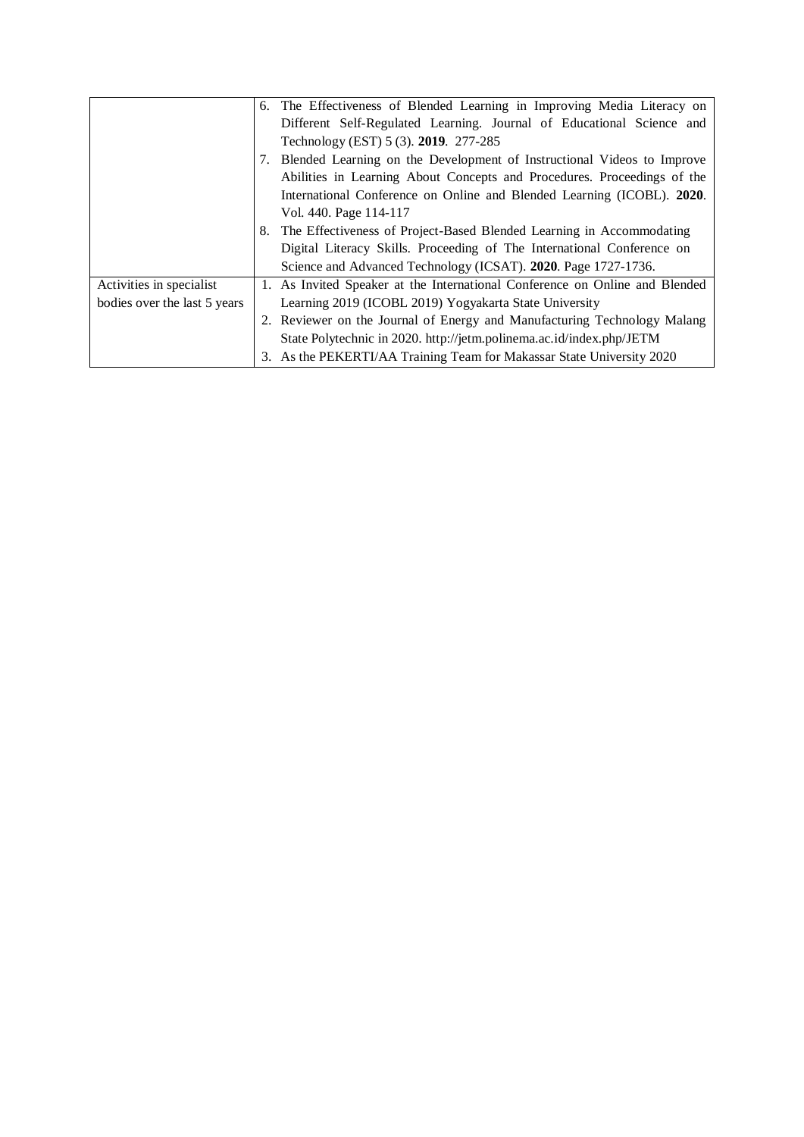|                              |    | 6. The Effectiveness of Blended Learning in Improving Media Literacy on     |
|------------------------------|----|-----------------------------------------------------------------------------|
|                              |    | Different Self-Regulated Learning. Journal of Educational Science and       |
|                              |    | Technology (EST) 5 (3). 2019. 277-285                                       |
|                              | 7. | Blended Learning on the Development of Instructional Videos to Improve      |
|                              |    | Abilities in Learning About Concepts and Procedures. Proceedings of the     |
|                              |    | International Conference on Online and Blended Learning (ICOBL). 2020.      |
|                              |    | Vol. 440. Page 114-117                                                      |
|                              | 8. | The Effectiveness of Project-Based Blended Learning in Accommodating        |
|                              |    | Digital Literacy Skills. Proceeding of The International Conference on      |
|                              |    | Science and Advanced Technology (ICSAT). 2020. Page 1727-1736.              |
| Activities in specialist     |    | 1. As Invited Speaker at the International Conference on Online and Blended |
| bodies over the last 5 years |    | Learning 2019 (ICOBL 2019) Yogyakarta State University                      |
|                              |    | 2. Reviewer on the Journal of Energy and Manufacturing Technology Malang    |
|                              |    | State Polytechnic in 2020. http://jetm.polinema.ac.id/index.php/JETM        |
|                              |    | 3. As the PEKERTI/AA Training Team for Makassar State University 2020       |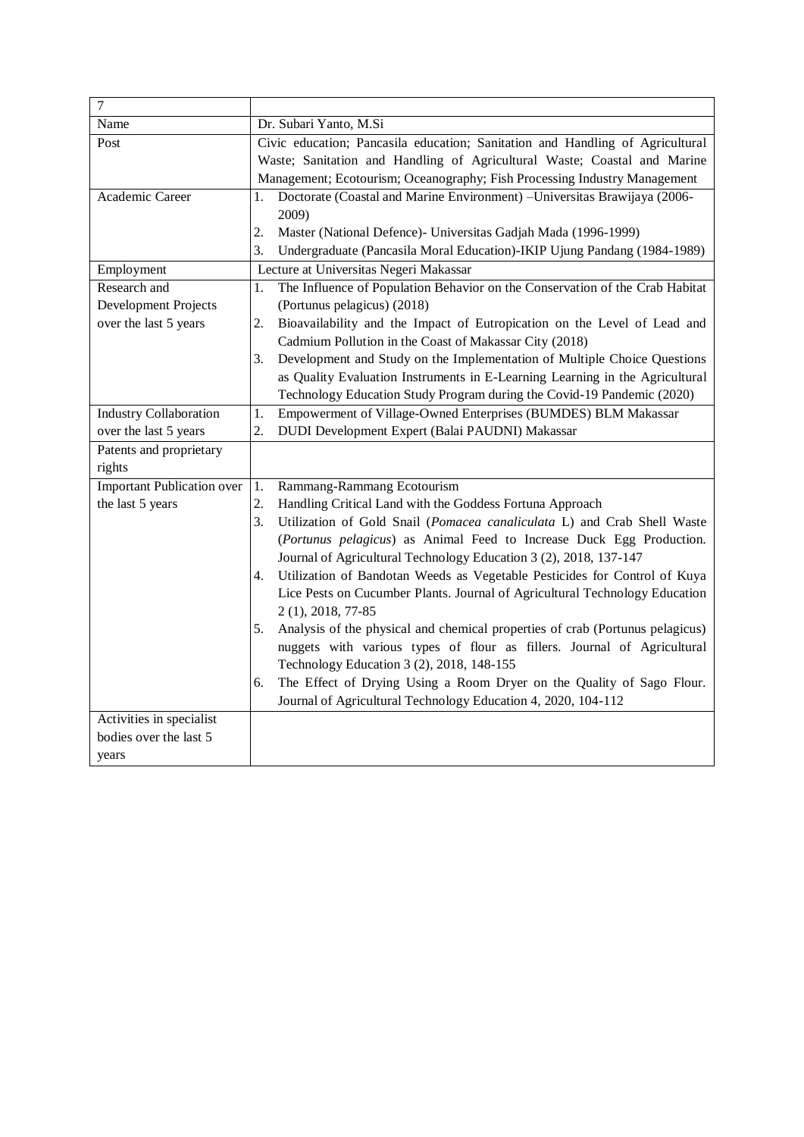| $\overline{7}$                    |                                                                                     |  |
|-----------------------------------|-------------------------------------------------------------------------------------|--|
| Name                              | Dr. Subari Yanto, M.Si                                                              |  |
| Post                              | Civic education; Pancasila education; Sanitation and Handling of Agricultural       |  |
|                                   | Waste; Sanitation and Handling of Agricultural Waste; Coastal and Marine            |  |
|                                   | Management; Ecotourism; Oceanography; Fish Processing Industry Management           |  |
| Academic Career                   | Doctorate (Coastal and Marine Environment) - Universitas Brawijaya (2006-<br>1.     |  |
|                                   | 2009)                                                                               |  |
|                                   | 2.<br>Master (National Defence) - Universitas Gadjah Mada (1996-1999)               |  |
|                                   | 3.<br>Undergraduate (Pancasila Moral Education)-IKIP Ujung Pandang (1984-1989)      |  |
| Employment                        | Lecture at Universitas Negeri Makassar                                              |  |
| Research and                      | The Influence of Population Behavior on the Conservation of the Crab Habitat<br>1.  |  |
| Development Projects              | (Portunus pelagicus) (2018)                                                         |  |
| over the last 5 years             | 2.<br>Bioavailability and the Impact of Eutropication on the Level of Lead and      |  |
|                                   | Cadmium Pollution in the Coast of Makassar City (2018)                              |  |
|                                   | 3.<br>Development and Study on the Implementation of Multiple Choice Questions      |  |
|                                   | as Quality Evaluation Instruments in E-Learning Learning in the Agricultural        |  |
|                                   | Technology Education Study Program during the Covid-19 Pandemic (2020)              |  |
| <b>Industry Collaboration</b>     | 1.<br>Empowerment of Village-Owned Enterprises (BUMDES) BLM Makassar                |  |
| over the last 5 years             | 2.<br>DUDI Development Expert (Balai PAUDNI) Makassar                               |  |
| Patents and proprietary           |                                                                                     |  |
| rights                            |                                                                                     |  |
| <b>Important Publication over</b> | Rammang-Rammang Ecotourism<br>1.                                                    |  |
| the last 5 years                  | 2.<br>Handling Critical Land with the Goddess Fortuna Approach                      |  |
|                                   | Utilization of Gold Snail (Pomacea canaliculata L) and Crab Shell Waste<br>3.       |  |
|                                   | (Portunus pelagicus) as Animal Feed to Increase Duck Egg Production.                |  |
|                                   | Journal of Agricultural Technology Education 3 (2), 2018, 137-147                   |  |
|                                   | Utilization of Bandotan Weeds as Vegetable Pesticides for Control of Kuya<br>4.     |  |
|                                   | Lice Pests on Cucumber Plants. Journal of Agricultural Technology Education         |  |
|                                   | 2 (1), 2018, 77-85                                                                  |  |
|                                   | Analysis of the physical and chemical properties of crab (Portunus pelagicus)<br>5. |  |
|                                   | nuggets with various types of flour as fillers. Journal of Agricultural             |  |
|                                   | Technology Education 3 (2), 2018, 148-155                                           |  |
|                                   | The Effect of Drying Using a Room Dryer on the Quality of Sago Flour.<br>6.         |  |
|                                   | Journal of Agricultural Technology Education 4, 2020, 104-112                       |  |
| Activities in specialist          |                                                                                     |  |
| bodies over the last 5            |                                                                                     |  |
| years                             |                                                                                     |  |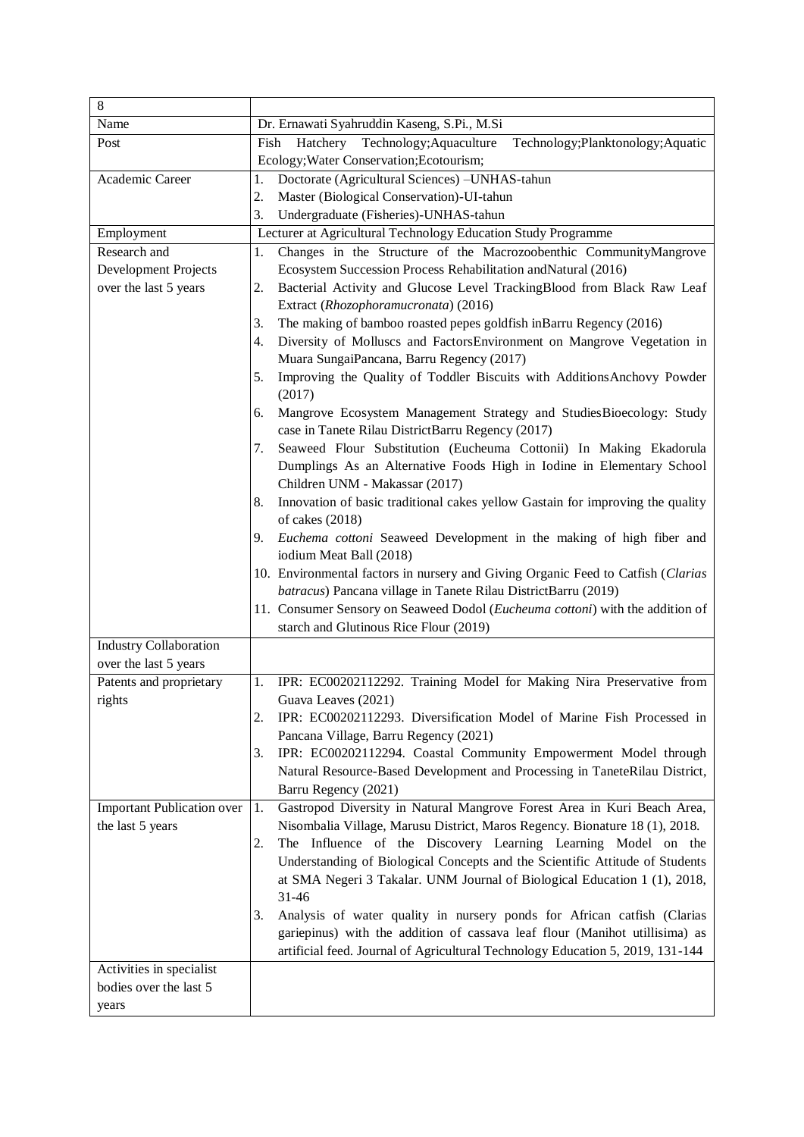| $\,8\,$                           |                                                                                                                                |
|-----------------------------------|--------------------------------------------------------------------------------------------------------------------------------|
| Name                              | Dr. Ernawati Syahruddin Kaseng, S.Pi., M.Si                                                                                    |
| Post                              | Hatchery Technology; Aquaculture<br>Technology; Planktonology; Aquatic<br>Fish<br>Ecology; Water Conservation; Ecotourism;     |
| Academic Career                   | Doctorate (Agricultural Sciences) -UNHAS-tahun<br>1.                                                                           |
|                                   | Master (Biological Conservation)-UI-tahun<br>2.                                                                                |
|                                   | 3.<br>Undergraduate (Fisheries)-UNHAS-tahun                                                                                    |
| Employment                        | Lecturer at Agricultural Technology Education Study Programme                                                                  |
| Research and                      | Changes in the Structure of the Macrozoobenthic CommunityMangrove<br>1.                                                        |
| Development Projects              | Ecosystem Succession Process Rehabilitation and Natural (2016)                                                                 |
| over the last 5 years             | Bacterial Activity and Glucose Level TrackingBlood from Black Raw Leaf<br>2.                                                   |
|                                   | Extract (Rhozophoramucronata) (2016)                                                                                           |
|                                   | The making of bamboo roasted pepes goldfish inBarru Regency (2016)<br>3.                                                       |
|                                   | Diversity of Molluscs and FactorsEnvironment on Mangrove Vegetation in<br>4.                                                   |
|                                   | Muara SungaiPancana, Barru Regency (2017)                                                                                      |
|                                   | Improving the Quality of Toddler Biscuits with Additions Anchovy Powder<br>5.<br>(2017)                                        |
|                                   | Mangrove Ecosystem Management Strategy and StudiesBioecology: Study<br>6.<br>case in Tanete Rilau DistrictBarru Regency (2017) |
|                                   | Seaweed Flour Substitution (Eucheuma Cottonii) In Making Ekadorula<br>7.                                                       |
|                                   | Dumplings As an Alternative Foods High in Iodine in Elementary School<br>Children UNM - Makassar (2017)                        |
|                                   | Innovation of basic traditional cakes yellow Gastain for improving the quality<br>8.                                           |
|                                   | of cakes (2018)                                                                                                                |
|                                   | Euchema cottoni Seaweed Development in the making of high fiber and<br>9.                                                      |
|                                   | iodium Meat Ball (2018)                                                                                                        |
|                                   | 10. Environmental factors in nursery and Giving Organic Feed to Catfish (Clarias                                               |
|                                   | batracus) Pancana village in Tanete Rilau DistrictBarru (2019)                                                                 |
|                                   | 11. Consumer Sensory on Seaweed Dodol (Eucheuma cottoni) with the addition of                                                  |
|                                   | starch and Glutinous Rice Flour (2019)                                                                                         |
| <b>Industry Collaboration</b>     |                                                                                                                                |
| over the last 5 years             |                                                                                                                                |
| Patents and proprietary           | IPR: EC00202112292. Training Model for Making Nira Preservative from<br>1.                                                     |
| rights                            | Guava Leaves (2021)                                                                                                            |
|                                   | 2.<br>IPR: EC00202112293. Diversification Model of Marine Fish Processed in                                                    |
|                                   | Pancana Village, Barru Regency (2021)                                                                                          |
|                                   | IPR: EC00202112294. Coastal Community Empowerment Model through<br>3.                                                          |
|                                   | Natural Resource-Based Development and Processing in TaneteRilau District,                                                     |
|                                   | Barru Regency (2021)                                                                                                           |
| <b>Important Publication over</b> | Gastropod Diversity in Natural Mangrove Forest Area in Kuri Beach Area,<br>1.                                                  |
| the last 5 years                  | Nisombalia Village, Marusu District, Maros Regency. Bionature 18 (1), 2018.                                                    |
|                                   | The Influence of the Discovery Learning Learning Model on the<br>2.                                                            |
|                                   | Understanding of Biological Concepts and the Scientific Attitude of Students                                                   |
|                                   | at SMA Negeri 3 Takalar. UNM Journal of Biological Education 1 (1), 2018,                                                      |
|                                   | 31-46                                                                                                                          |
|                                   | Analysis of water quality in nursery ponds for African catfish (Clarias<br>3.                                                  |
|                                   | gariepinus) with the addition of cassava leaf flour (Manihot utillisima) as                                                    |
|                                   | artificial feed. Journal of Agricultural Technology Education 5, 2019, 131-144                                                 |
| Activities in specialist          |                                                                                                                                |
| bodies over the last 5            |                                                                                                                                |
| years                             |                                                                                                                                |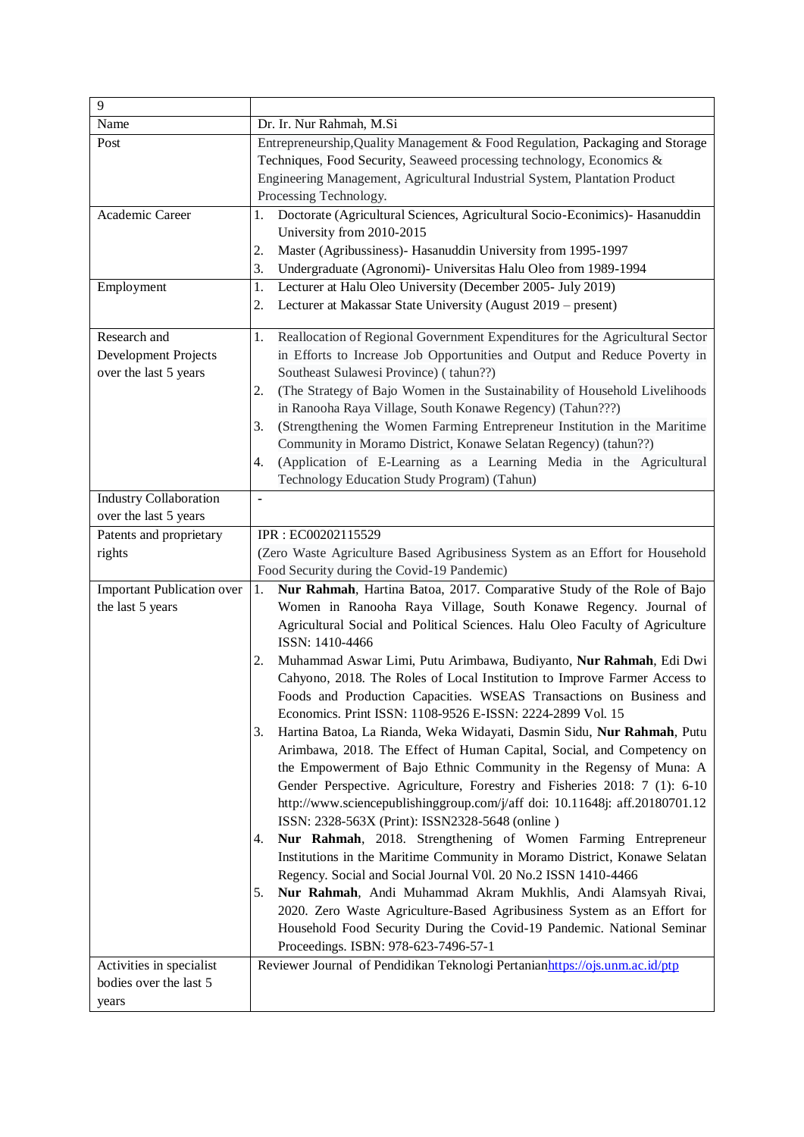| $\overline{9}$                    |                                                                                    |
|-----------------------------------|------------------------------------------------------------------------------------|
| Name                              | Dr. Ir. Nur Rahmah, M.Si                                                           |
| Post                              | Entrepreneurship, Quality Management & Food Regulation, Packaging and Storage      |
|                                   | Techniques, Food Security, Seaweed processing technology, Economics &              |
|                                   | Engineering Management, Agricultural Industrial System, Plantation Product         |
|                                   | Processing Technology.                                                             |
| Academic Career                   | Doctorate (Agricultural Sciences, Agricultural Socio-Econimics)- Hasanuddin<br>1.  |
|                                   | University from 2010-2015                                                          |
|                                   | Master (Agribussiness)- Hasanuddin University from 1995-1997<br>2.                 |
|                                   | Undergraduate (Agronomi)- Universitas Halu Oleo from 1989-1994<br>3.               |
| Employment                        | Lecturer at Halu Oleo University (December 2005- July 2019)<br>1.                  |
|                                   | Lecturer at Makassar State University (August 2019 – present)<br>2.                |
| Research and                      | Reallocation of Regional Government Expenditures for the Agricultural Sector<br>1. |
| Development Projects              | in Efforts to Increase Job Opportunities and Output and Reduce Poverty in          |
| over the last 5 years             | Southeast Sulawesi Province) (tahun??)                                             |
|                                   | (The Strategy of Bajo Women in the Sustainability of Household Livelihoods<br>2.   |
|                                   | in Ranooha Raya Village, South Konawe Regency) (Tahun???)                          |
|                                   | (Strengthening the Women Farming Entrepreneur Institution in the Maritime<br>3.    |
|                                   | Community in Moramo District, Konawe Selatan Regency) (tahun??)                    |
|                                   | (Application of E-Learning as a Learning Media in the Agricultural<br>4.           |
|                                   | Technology Education Study Program) (Tahun)                                        |
| <b>Industry Collaboration</b>     | $\qquad \qquad \blacksquare$                                                       |
| over the last 5 years             |                                                                                    |
| Patents and proprietary           | IPR: EC00202115529                                                                 |
| rights                            | (Zero Waste Agriculture Based Agribusiness System as an Effort for Household       |
|                                   | Food Security during the Covid-19 Pandemic)                                        |
| <b>Important Publication over</b> | Nur Rahmah, Hartina Batoa, 2017. Comparative Study of the Role of Bajo<br>1.       |
| the last 5 years                  | Women in Ranooha Raya Village, South Konawe Regency. Journal of                    |
|                                   | Agricultural Social and Political Sciences. Halu Oleo Faculty of Agriculture       |
|                                   | ISSN: 1410-4466                                                                    |
|                                   | Muhammad Aswar Limi, Putu Arimbawa, Budiyanto, Nur Rahmah, Edi Dwi<br>2.           |
|                                   | Cahyono, 2018. The Roles of Local Institution to Improve Farmer Access to          |
|                                   | Foods and Production Capacities. WSEAS Transactions on Business and                |
|                                   | Economics. Print ISSN: 1108-9526 E-ISSN: 2224-2899 Vol. 15                         |
|                                   | Hartina Batoa, La Rianda, Weka Widayati, Dasmin Sidu, Nur Rahmah, Putu<br>3.       |
|                                   | Arimbawa, 2018. The Effect of Human Capital, Social, and Competency on             |
|                                   | the Empowerment of Bajo Ethnic Community in the Regensy of Muna: A                 |
|                                   | Gender Perspective. Agriculture, Forestry and Fisheries 2018: 7 (1): 6-10          |
|                                   | http://www.sciencepublishinggroup.com/j/aff doi: 10.11648j: aff.20180701.12        |
|                                   | ISSN: 2328-563X (Print): ISSN2328-5648 (online)                                    |
|                                   | Nur Rahmah, 2018. Strengthening of Women Farming Entrepreneur<br>4.                |
|                                   | Institutions in the Maritime Community in Moramo District, Konawe Selatan          |
|                                   | Regency. Social and Social Journal V0l. 20 No.2 ISSN 1410-4466                     |
|                                   | Nur Rahmah, Andi Muhammad Akram Mukhlis, Andi Alamsyah Rivai,<br>5.                |
|                                   | 2020. Zero Waste Agriculture-Based Agribusiness System as an Effort for            |
|                                   | Household Food Security During the Covid-19 Pandemic. National Seminar             |
|                                   | Proceedings. ISBN: 978-623-7496-57-1                                               |
| Activities in specialist          | Reviewer Journal of Pendidikan Teknologi Pertanianhttps://ojs.unm.ac.id/ptp        |
| bodies over the last 5            |                                                                                    |
| years                             |                                                                                    |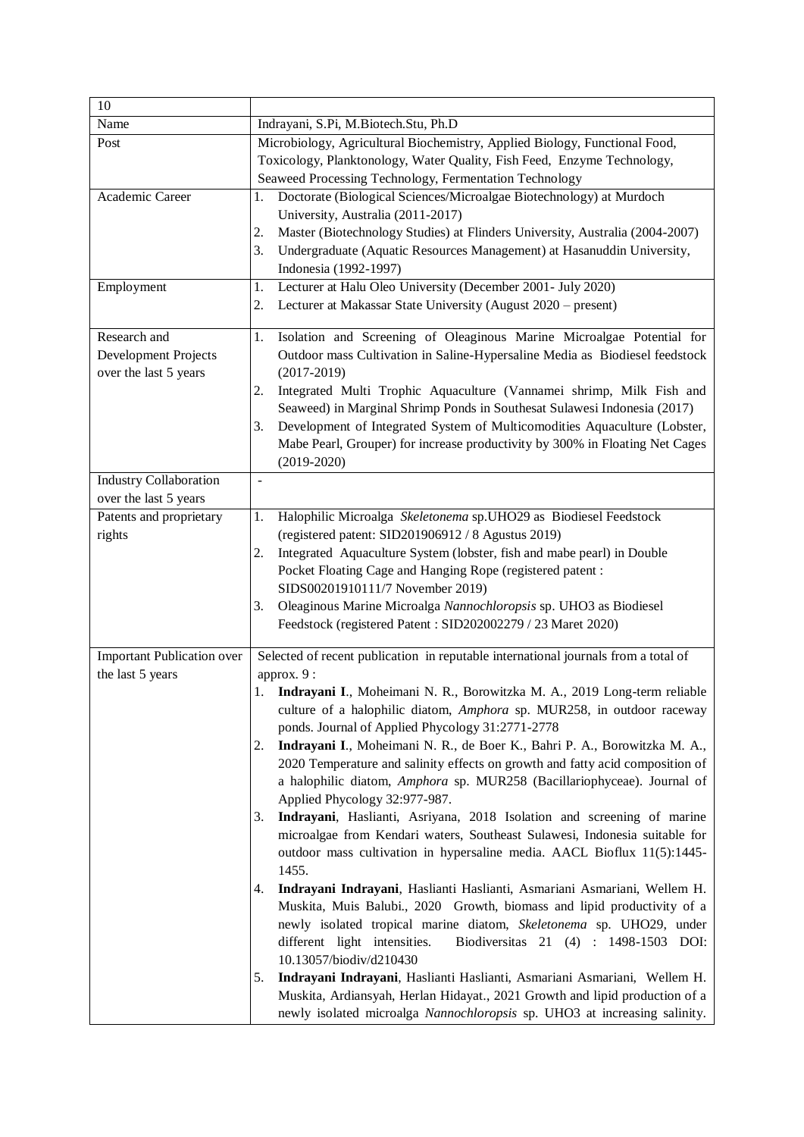| 10                                                            |                                                                                                                                                                                                                                                                                                                                                                                                                                                                                                                                                                                                                                                                                                                                                                                                                                                                                                                                                                                                                                                                                                                                                                                                                                                                                                                                                                                                                                          |
|---------------------------------------------------------------|------------------------------------------------------------------------------------------------------------------------------------------------------------------------------------------------------------------------------------------------------------------------------------------------------------------------------------------------------------------------------------------------------------------------------------------------------------------------------------------------------------------------------------------------------------------------------------------------------------------------------------------------------------------------------------------------------------------------------------------------------------------------------------------------------------------------------------------------------------------------------------------------------------------------------------------------------------------------------------------------------------------------------------------------------------------------------------------------------------------------------------------------------------------------------------------------------------------------------------------------------------------------------------------------------------------------------------------------------------------------------------------------------------------------------------------|
| Name                                                          | Indrayani, S.Pi, M.Biotech.Stu, Ph.D                                                                                                                                                                                                                                                                                                                                                                                                                                                                                                                                                                                                                                                                                                                                                                                                                                                                                                                                                                                                                                                                                                                                                                                                                                                                                                                                                                                                     |
| Post                                                          | Microbiology, Agricultural Biochemistry, Applied Biology, Functional Food,<br>Toxicology, Planktonology, Water Quality, Fish Feed, Enzyme Technology,<br>Seaweed Processing Technology, Fermentation Technology                                                                                                                                                                                                                                                                                                                                                                                                                                                                                                                                                                                                                                                                                                                                                                                                                                                                                                                                                                                                                                                                                                                                                                                                                          |
| Academic Career                                               | Doctorate (Biological Sciences/Microalgae Biotechnology) at Murdoch<br>1.<br>University, Australia (2011-2017)<br>Master (Biotechnology Studies) at Flinders University, Australia (2004-2007)<br>2.<br>3.<br>Undergraduate (Aquatic Resources Management) at Hasanuddin University,<br>Indonesia (1992-1997)                                                                                                                                                                                                                                                                                                                                                                                                                                                                                                                                                                                                                                                                                                                                                                                                                                                                                                                                                                                                                                                                                                                            |
| Employment                                                    | 1.<br>Lecturer at Halu Oleo University (December 2001- July 2020)<br>Lecturer at Makassar State University (August 2020 – present)<br>2.                                                                                                                                                                                                                                                                                                                                                                                                                                                                                                                                                                                                                                                                                                                                                                                                                                                                                                                                                                                                                                                                                                                                                                                                                                                                                                 |
| Research and<br>Development Projects<br>over the last 5 years | Isolation and Screening of Oleaginous Marine Microalgae Potential for<br>1.<br>Outdoor mass Cultivation in Saline-Hypersaline Media as Biodiesel feedstock<br>$(2017-2019)$<br>Integrated Multi Trophic Aquaculture (Vannamei shrimp, Milk Fish and<br>2.<br>Seaweed) in Marginal Shrimp Ponds in Southesat Sulawesi Indonesia (2017)<br>Development of Integrated System of Multicomodities Aquaculture (Lobster,<br>3.<br>Mabe Pearl, Grouper) for increase productivity by 300% in Floating Net Cages<br>$(2019-2020)$                                                                                                                                                                                                                                                                                                                                                                                                                                                                                                                                                                                                                                                                                                                                                                                                                                                                                                                |
| <b>Industry Collaboration</b><br>over the last 5 years        | $\bar{\phantom{a}}$                                                                                                                                                                                                                                                                                                                                                                                                                                                                                                                                                                                                                                                                                                                                                                                                                                                                                                                                                                                                                                                                                                                                                                                                                                                                                                                                                                                                                      |
| Patents and proprietary<br>rights                             | Halophilic Microalga Skeletonema sp.UHO29 as Biodiesel Feedstock<br>1.<br>(registered patent: SID201906912 / 8 Agustus 2019)<br>Integrated Aquaculture System (lobster, fish and mabe pearl) in Double<br>2.<br>Pocket Floating Cage and Hanging Rope (registered patent:<br>SIDS00201910111/7 November 2019)<br>Oleaginous Marine Microalga Nannochloropsis sp. UHO3 as Biodiesel<br>3.<br>Feedstock (registered Patent: SID202002279 / 23 Maret 2020)                                                                                                                                                                                                                                                                                                                                                                                                                                                                                                                                                                                                                                                                                                                                                                                                                                                                                                                                                                                  |
| <b>Important Publication over</b><br>the last 5 years         | Selected of recent publication in reputable international journals from a total of<br>approx. 9 :<br>Indrayani I., Moheimani N. R., Borowitzka M. A., 2019 Long-term reliable<br>1.<br>culture of a halophilic diatom, Amphora sp. MUR258, in outdoor raceway<br>ponds. Journal of Applied Phycology 31:2771-2778<br>Indrayani I., Moheimani N. R., de Boer K., Bahri P. A., Borowitzka M. A.,<br>2.<br>2020 Temperature and salinity effects on growth and fatty acid composition of<br>a halophilic diatom, Amphora sp. MUR258 (Bacillariophyceae). Journal of<br>Applied Phycology 32:977-987.<br>Indrayani, Haslianti, Asriyana, 2018 Isolation and screening of marine<br>3.<br>microalgae from Kendari waters, Southeast Sulawesi, Indonesia suitable for<br>outdoor mass cultivation in hypersaline media. AACL Bioflux 11(5):1445-<br>1455.<br>Indrayani Indrayani, Haslianti Haslianti, Asmariani Asmariani, Wellem H.<br>4.<br>Muskita, Muis Balubi., 2020 Growth, biomass and lipid productivity of a<br>newly isolated tropical marine diatom, Skeletonema sp. UHO29, under<br>different light intensities.<br>Biodiversitas 21 (4): 1498-1503 DOI:<br>10.13057/biodiv/d210430<br>Indrayani Indrayani, Haslianti Haslianti, Asmariani Asmariani, Wellem H.<br>5.<br>Muskita, Ardiansyah, Herlan Hidayat., 2021 Growth and lipid production of a<br>newly isolated microalga Nannochloropsis sp. UHO3 at increasing salinity. |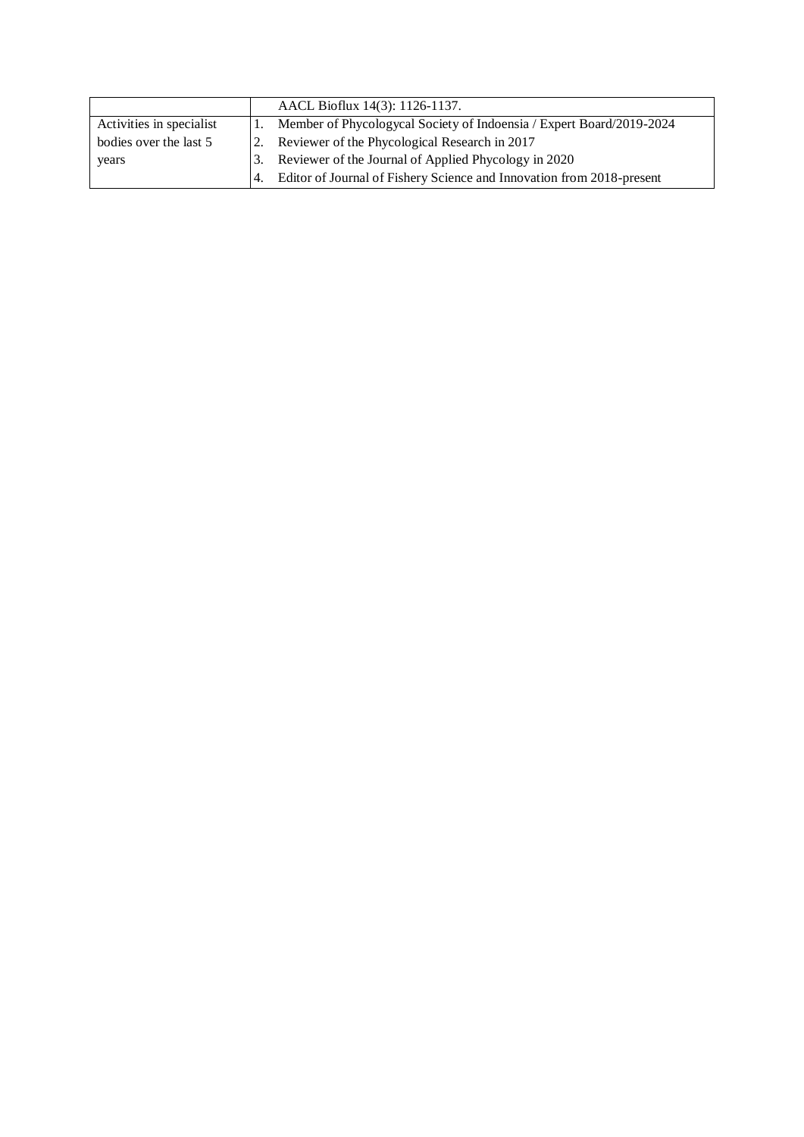|                          |           | AACL Bioflux 14(3): 1126-1137.                                        |
|--------------------------|-----------|-----------------------------------------------------------------------|
| Activities in specialist |           | Member of Phycologycal Society of Indoensia / Expert Board/2019-2024  |
| bodies over the last 5   | <u>2.</u> | Reviewer of the Phycological Research in 2017                         |
| years                    | 3.        | Reviewer of the Journal of Applied Phycology in 2020                  |
|                          | 4.        | Editor of Journal of Fishery Science and Innovation from 2018-present |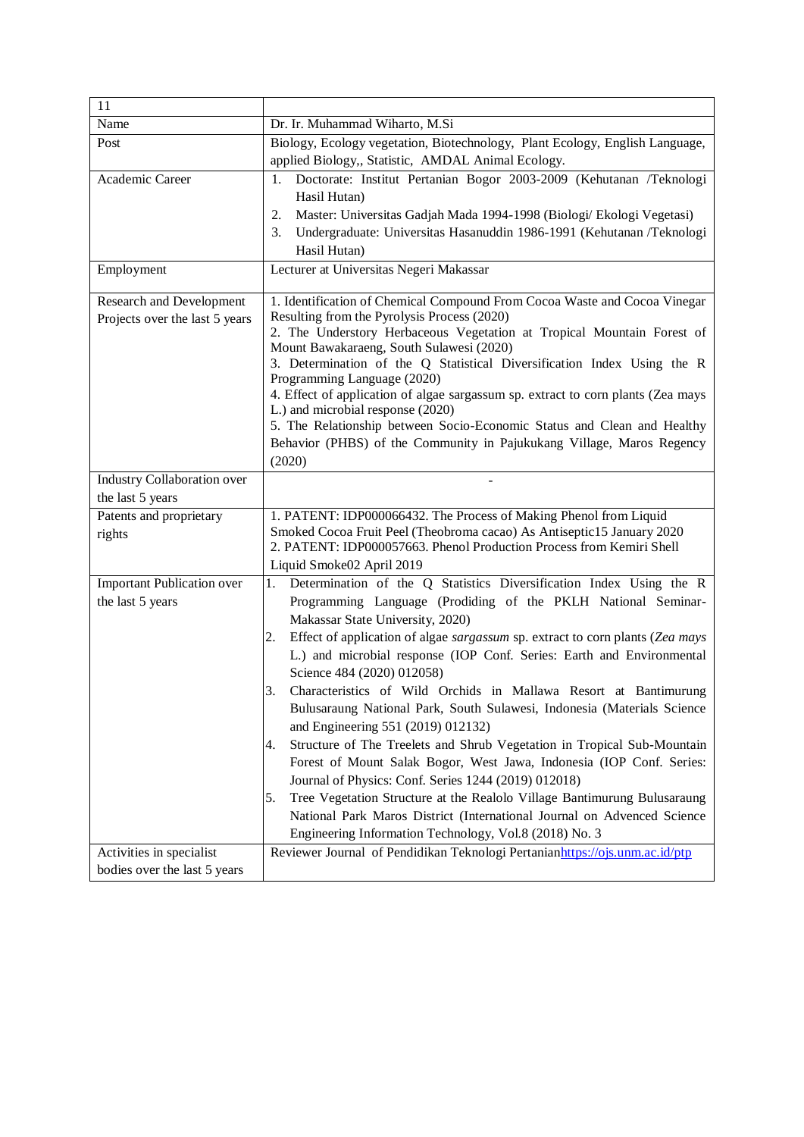| 11                                                    |                                                                                                                                                |
|-------------------------------------------------------|------------------------------------------------------------------------------------------------------------------------------------------------|
| Name                                                  | Dr. Ir. Muhammad Wiharto, M.Si                                                                                                                 |
| Post                                                  | Biology, Ecology vegetation, Biotechnology, Plant Ecology, English Language,                                                                   |
|                                                       | applied Biology,, Statistic, AMDAL Animal Ecology.                                                                                             |
| Academic Career                                       | Doctorate: Institut Pertanian Bogor 2003-2009 (Kehutanan /Teknologi<br>1.                                                                      |
|                                                       | Hasil Hutan)                                                                                                                                   |
|                                                       | Master: Universitas Gadjah Mada 1994-1998 (Biologi/ Ekologi Vegetasi)<br>2.                                                                    |
|                                                       | Undergraduate: Universitas Hasanuddin 1986-1991 (Kehutanan /Teknologi<br>3.                                                                    |
|                                                       | Hasil Hutan)                                                                                                                                   |
| Employment                                            | Lecturer at Universitas Negeri Makassar                                                                                                        |
| <b>Research and Development</b>                       | 1. Identification of Chemical Compound From Cocoa Waste and Cocoa Vinegar                                                                      |
| Projects over the last 5 years                        | Resulting from the Pyrolysis Process (2020)                                                                                                    |
|                                                       | 2. The Understory Herbaceous Vegetation at Tropical Mountain Forest of                                                                         |
|                                                       | Mount Bawakaraeng, South Sulawesi (2020)                                                                                                       |
|                                                       | 3. Determination of the Q Statistical Diversification Index Using the R                                                                        |
|                                                       | Programming Language (2020)<br>4. Effect of application of algae sargassum sp. extract to corn plants (Zea mays                                |
|                                                       | L.) and microbial response (2020)                                                                                                              |
|                                                       | 5. The Relationship between Socio-Economic Status and Clean and Healthy                                                                        |
|                                                       | Behavior (PHBS) of the Community in Pajukukang Village, Maros Regency                                                                          |
|                                                       | (2020)                                                                                                                                         |
| <b>Industry Collaboration over</b>                    |                                                                                                                                                |
| the last 5 years                                      |                                                                                                                                                |
| Patents and proprietary                               | 1. PATENT: IDP000066432. The Process of Making Phenol from Liquid                                                                              |
| rights                                                | Smoked Cocoa Fruit Peel (Theobroma cacao) As Antiseptic15 January 2020<br>2. PATENT: IDP000057663. Phenol Production Process from Kemiri Shell |
|                                                       |                                                                                                                                                |
|                                                       | Liquid Smoke02 April 2019<br>1.                                                                                                                |
| <b>Important Publication over</b><br>the last 5 years | Determination of the Q Statistics Diversification Index Using the R                                                                            |
|                                                       | Programming Language (Prodiding of the PKLH National Seminar-<br>Makassar State University, 2020)                                              |
|                                                       | Effect of application of algae sargassum sp. extract to corn plants (Zea mays<br>2.                                                            |
|                                                       | L.) and microbial response (IOP Conf. Series: Earth and Environmental                                                                          |
|                                                       | Science 484 (2020) 012058)                                                                                                                     |
|                                                       | Characteristics of Wild Orchids in Mallawa Resort at Bantimurung<br>3.                                                                         |
|                                                       | Bulusaraung National Park, South Sulawesi, Indonesia (Materials Science                                                                        |
|                                                       | and Engineering 551 (2019) 012132)                                                                                                             |
|                                                       | Structure of The Treelets and Shrub Vegetation in Tropical Sub-Mountain<br>4.                                                                  |
|                                                       | Forest of Mount Salak Bogor, West Jawa, Indonesia (IOP Conf. Series:                                                                           |
|                                                       | Journal of Physics: Conf. Series 1244 (2019) 012018)                                                                                           |
|                                                       | Tree Vegetation Structure at the Realolo Village Bantimurung Bulusaraung<br>5.                                                                 |
|                                                       | National Park Maros District (International Journal on Advenced Science                                                                        |
|                                                       | Engineering Information Technology, Vol.8 (2018) No. 3                                                                                         |
| Activities in specialist                              | Reviewer Journal of Pendidikan Teknologi Pertanianhttps://ojs.unm.ac.id/ptp                                                                    |
| bodies over the last 5 years                          |                                                                                                                                                |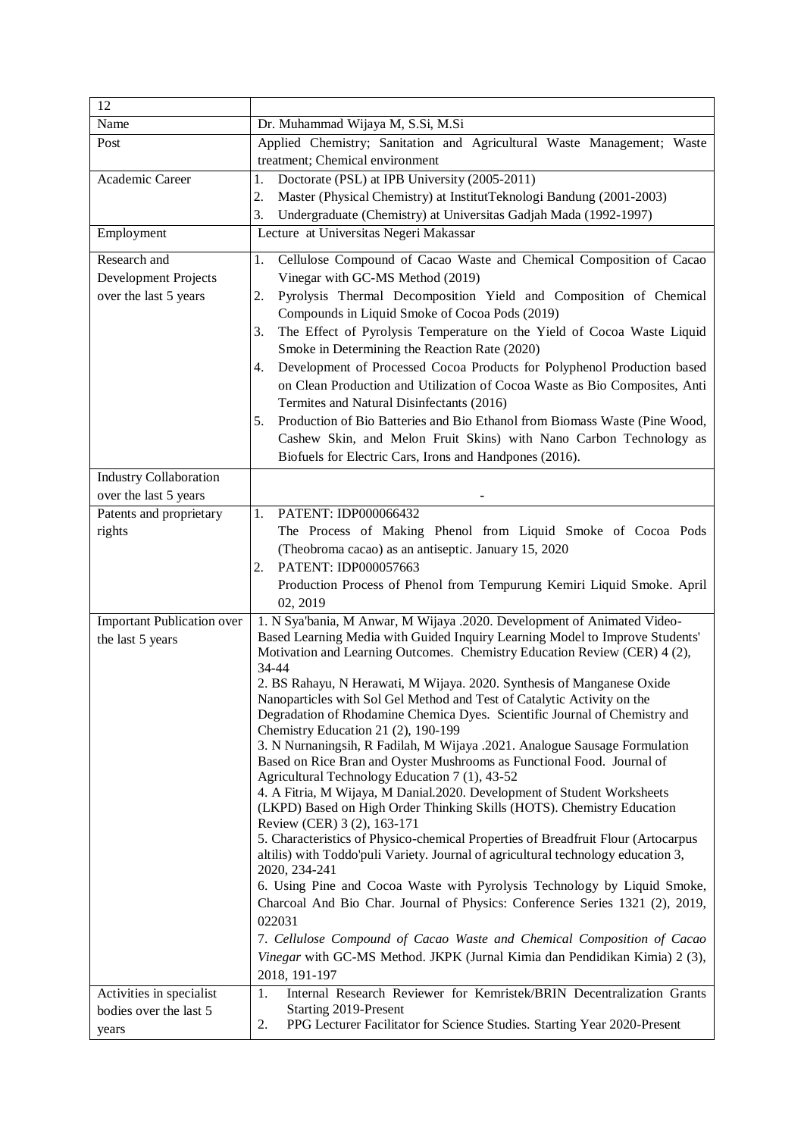| 12                                |                                                                                                                                                         |
|-----------------------------------|---------------------------------------------------------------------------------------------------------------------------------------------------------|
| Name                              | Dr. Muhammad Wijaya M, S.Si, M.Si                                                                                                                       |
| Post                              | Applied Chemistry; Sanitation and Agricultural Waste Management; Waste<br>treatment; Chemical environment                                               |
| Academic Career                   | Doctorate (PSL) at IPB University (2005-2011)<br>1.                                                                                                     |
|                                   | Master (Physical Chemistry) at InstitutTeknologi Bandung (2001-2003)<br>2.                                                                              |
|                                   | 3.<br>Undergraduate (Chemistry) at Universitas Gadjah Mada (1992-1997)                                                                                  |
| Employment                        | Lecture at Universitas Negeri Makassar                                                                                                                  |
| Research and                      | Cellulose Compound of Cacao Waste and Chemical Composition of Cacao<br>1.                                                                               |
| Development Projects              | Vinegar with GC-MS Method (2019)                                                                                                                        |
| over the last 5 years             | Pyrolysis Thermal Decomposition Yield and Composition of Chemical<br>2.                                                                                 |
|                                   | Compounds in Liquid Smoke of Cocoa Pods (2019)                                                                                                          |
|                                   | The Effect of Pyrolysis Temperature on the Yield of Cocoa Waste Liquid<br>3.                                                                            |
|                                   | Smoke in Determining the Reaction Rate (2020)                                                                                                           |
|                                   | Development of Processed Cocoa Products for Polyphenol Production based<br>4.                                                                           |
|                                   | on Clean Production and Utilization of Cocoa Waste as Bio Composites, Anti                                                                              |
|                                   | Termites and Natural Disinfectants (2016)                                                                                                               |
|                                   | Production of Bio Batteries and Bio Ethanol from Biomass Waste (Pine Wood,<br>5.                                                                        |
|                                   | Cashew Skin, and Melon Fruit Skins) with Nano Carbon Technology as                                                                                      |
|                                   | Biofuels for Electric Cars, Irons and Handpones (2016).                                                                                                 |
| <b>Industry Collaboration</b>     |                                                                                                                                                         |
| over the last 5 years             |                                                                                                                                                         |
| Patents and proprietary           | PATENT: IDP000066432<br>1.                                                                                                                              |
| rights                            | The Process of Making Phenol from Liquid Smoke of Cocoa Pods                                                                                            |
|                                   | (Theobroma cacao) as an antiseptic. January 15, 2020                                                                                                    |
|                                   | PATENT: IDP000057663<br>2.                                                                                                                              |
|                                   | Production Process of Phenol from Tempurung Kemiri Liquid Smoke. April                                                                                  |
|                                   | 02, 2019                                                                                                                                                |
| <b>Important Publication over</b> | 1. N Sya'bania, M Anwar, M Wijaya .2020. Development of Animated Video-<br>Based Learning Media with Guided Inquiry Learning Model to Improve Students' |
| the last 5 years                  | Motivation and Learning Outcomes. Chemistry Education Review (CER) 4 (2),                                                                               |
|                                   | 34-44                                                                                                                                                   |
|                                   | 2. BS Rahayu, N Herawati, M Wijaya. 2020. Synthesis of Manganese Oxide                                                                                  |
|                                   | Nanoparticles with Sol Gel Method and Test of Catalytic Activity on the                                                                                 |
|                                   | Degradation of Rhodamine Chemica Dyes. Scientific Journal of Chemistry and                                                                              |
|                                   | Chemistry Education 21 (2), 190-199                                                                                                                     |
|                                   | 3. N Nurnaningsih, R Fadilah, M Wijaya .2021. Analogue Sausage Formulation<br>Based on Rice Bran and Oyster Mushrooms as Functional Food. Journal of    |
|                                   | Agricultural Technology Education 7 (1), 43-52                                                                                                          |
|                                   | 4. A Fitria, M Wijaya, M Danial.2020. Development of Student Worksheets                                                                                 |
|                                   | (LKPD) Based on High Order Thinking Skills (HOTS). Chemistry Education                                                                                  |
|                                   | Review (CER) 3 (2), 163-171                                                                                                                             |
|                                   | 5. Characteristics of Physico-chemical Properties of Breadfruit Flour (Artocarpus                                                                       |
|                                   | altilis) with Toddo'puli Variety. Journal of agricultural technology education 3,<br>2020, 234-241                                                      |
|                                   | 6. Using Pine and Cocoa Waste with Pyrolysis Technology by Liquid Smoke,                                                                                |
|                                   | Charcoal And Bio Char. Journal of Physics: Conference Series 1321 (2), 2019,                                                                            |
|                                   | 022031                                                                                                                                                  |
|                                   | 7. Cellulose Compound of Cacao Waste and Chemical Composition of Cacao                                                                                  |
|                                   | Vinegar with GC-MS Method. JKPK (Jurnal Kimia dan Pendidikan Kimia) 2 (3),                                                                              |
|                                   | 2018, 191-197                                                                                                                                           |
| Activities in specialist          | Internal Research Reviewer for Kemristek/BRIN Decentralization Grants<br>1.                                                                             |
| bodies over the last 5            | Starting 2019-Present                                                                                                                                   |
| years                             | PPG Lecturer Facilitator for Science Studies. Starting Year 2020-Present<br>2.                                                                          |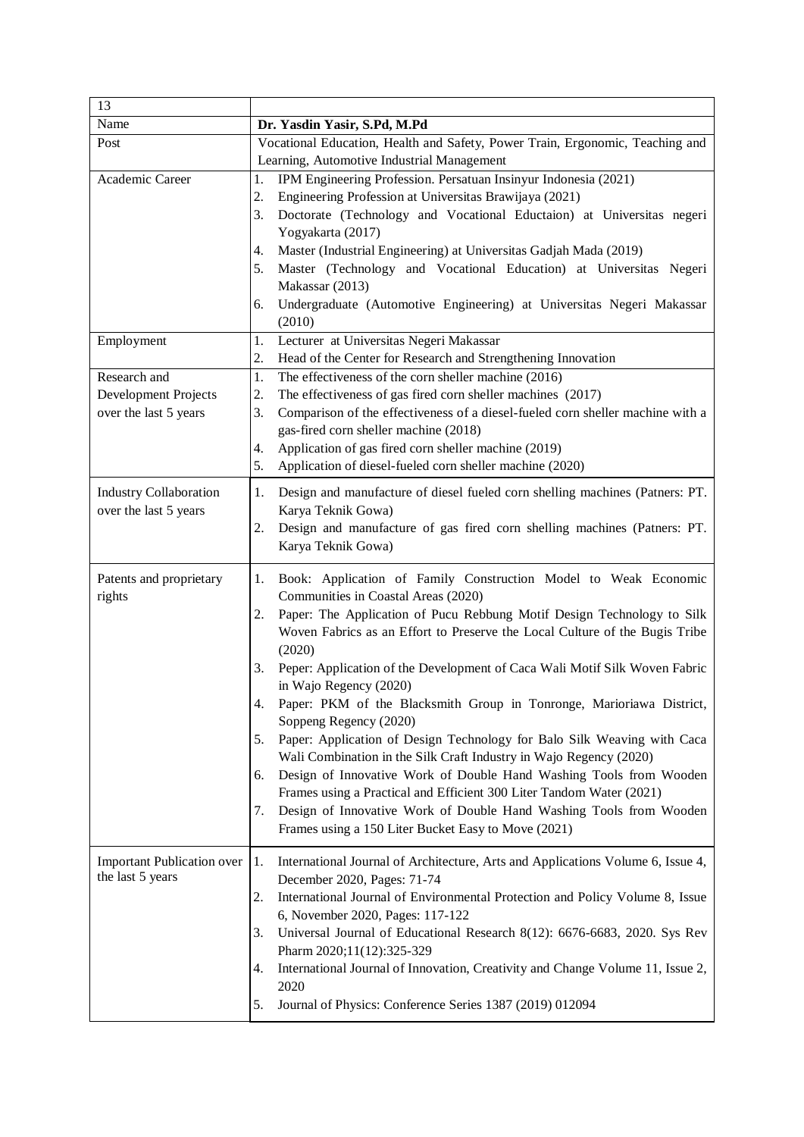| 13                                |                                                                                               |  |
|-----------------------------------|-----------------------------------------------------------------------------------------------|--|
| Name                              | Dr. Yasdin Yasir, S.Pd, M.Pd                                                                  |  |
| Post                              | Vocational Education, Health and Safety, Power Train, Ergonomic, Teaching and                 |  |
|                                   | Learning, Automotive Industrial Management                                                    |  |
| Academic Career                   | IPM Engineering Profession. Persatuan Insinyur Indonesia (2021)<br>1.                         |  |
|                                   | 2.<br>Engineering Profession at Universitas Brawijaya (2021)                                  |  |
|                                   | Doctorate (Technology and Vocational Eductaion) at Universitas negeri<br>3.                   |  |
|                                   | Yogyakarta (2017)                                                                             |  |
|                                   | Master (Industrial Engineering) at Universitas Gadjah Mada (2019)<br>4.                       |  |
|                                   | Master (Technology and Vocational Education) at Universitas Negeri<br>5.                      |  |
|                                   | Makassar (2013)                                                                               |  |
|                                   | Undergraduate (Automotive Engineering) at Universitas Negeri Makassar<br>6.                   |  |
|                                   | (2010)                                                                                        |  |
| Employment                        | Lecturer at Universitas Negeri Makassar<br>1.                                                 |  |
|                                   | Head of the Center for Research and Strengthening Innovation<br>2.                            |  |
| Research and                      | The effectiveness of the corn sheller machine (2016)<br>1.                                    |  |
| Development Projects              | 2.<br>The effectiveness of gas fired corn sheller machines (2017)                             |  |
| over the last 5 years             | 3.<br>Comparison of the effectiveness of a diesel-fueled corn sheller machine with a          |  |
|                                   | gas-fired corn sheller machine (2018)<br>Application of gas fired corn sheller machine (2019) |  |
|                                   | 4.<br>Application of diesel-fueled corn sheller machine (2020)<br>5.                          |  |
|                                   |                                                                                               |  |
| <b>Industry Collaboration</b>     | Design and manufacture of diesel fueled corn shelling machines (Patners: PT.<br>1.            |  |
| over the last 5 years             | Karya Teknik Gowa)                                                                            |  |
|                                   | Design and manufacture of gas fired corn shelling machines (Patners: PT.<br>2.                |  |
|                                   | Karya Teknik Gowa)                                                                            |  |
| Patents and proprietary           | 1.<br>Book: Application of Family Construction Model to Weak Economic                         |  |
| rights                            | Communities in Coastal Areas (2020)                                                           |  |
|                                   | Paper: The Application of Pucu Rebbung Motif Design Technology to Silk<br>2.                  |  |
|                                   | Woven Fabrics as an Effort to Preserve the Local Culture of the Bugis Tribe                   |  |
|                                   | (2020)                                                                                        |  |
|                                   | 3.<br>Peper: Application of the Development of Caca Wali Motif Silk Woven Fabric              |  |
|                                   | in Wajo Regency (2020)                                                                        |  |
|                                   | Paper: PKM of the Blacksmith Group in Tonronge, Marioriawa District,                          |  |
|                                   | Soppeng Regency (2020)                                                                        |  |
|                                   | Paper: Application of Design Technology for Balo Silk Weaving with Caca<br>5.                 |  |
|                                   | Wali Combination in the Silk Craft Industry in Wajo Regency (2020)                            |  |
|                                   | Design of Innovative Work of Double Hand Washing Tools from Wooden<br>6.                      |  |
|                                   | Frames using a Practical and Efficient 300 Liter Tandom Water (2021)                          |  |
|                                   | Design of Innovative Work of Double Hand Washing Tools from Wooden<br>7.                      |  |
|                                   | Frames using a 150 Liter Bucket Easy to Move (2021)                                           |  |
| <b>Important Publication over</b> | 1.<br>International Journal of Architecture, Arts and Applications Volume 6, Issue 4,         |  |
| the last 5 years                  | December 2020, Pages: 71-74                                                                   |  |
|                                   | International Journal of Environmental Protection and Policy Volume 8, Issue<br>2.            |  |
|                                   | 6, November 2020, Pages: 117-122                                                              |  |
|                                   | Universal Journal of Educational Research 8(12): 6676-6683, 2020. Sys Rev<br>3.               |  |
|                                   | Pharm 2020;11(12):325-329                                                                     |  |
|                                   | International Journal of Innovation, Creativity and Change Volume 11, Issue 2,<br>4.          |  |
|                                   | 2020                                                                                          |  |
|                                   | Journal of Physics: Conference Series 1387 (2019) 012094<br>5.                                |  |
|                                   |                                                                                               |  |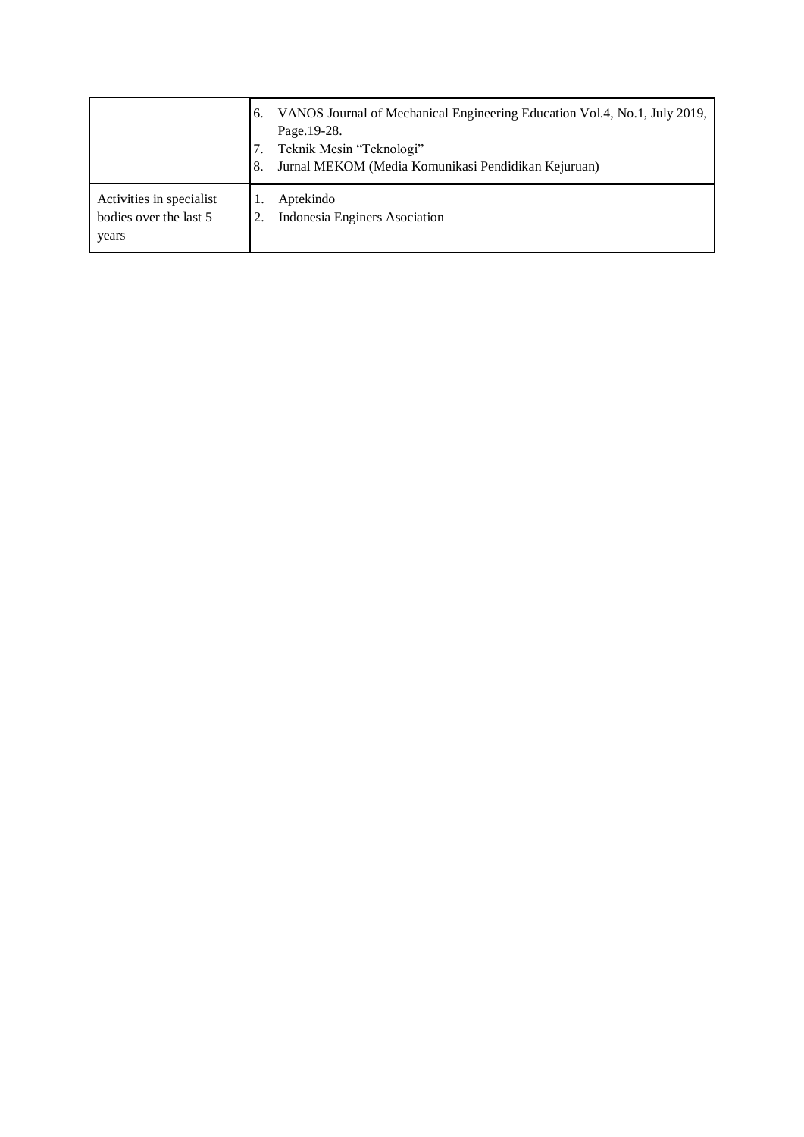|                                                             | VANOS Journal of Mechanical Engineering Education Vol.4, No.1, July 2019,<br>6.<br>Page. 19-28.<br>Teknik Mesin "Teknologi"<br>Jurnal MEKOM (Media Komunikasi Pendidikan Kejuruan)<br>8. |
|-------------------------------------------------------------|------------------------------------------------------------------------------------------------------------------------------------------------------------------------------------------|
| Activities in specialist<br>bodies over the last 5<br>years | Aptekindo<br>Indonesia Enginers Asociation                                                                                                                                               |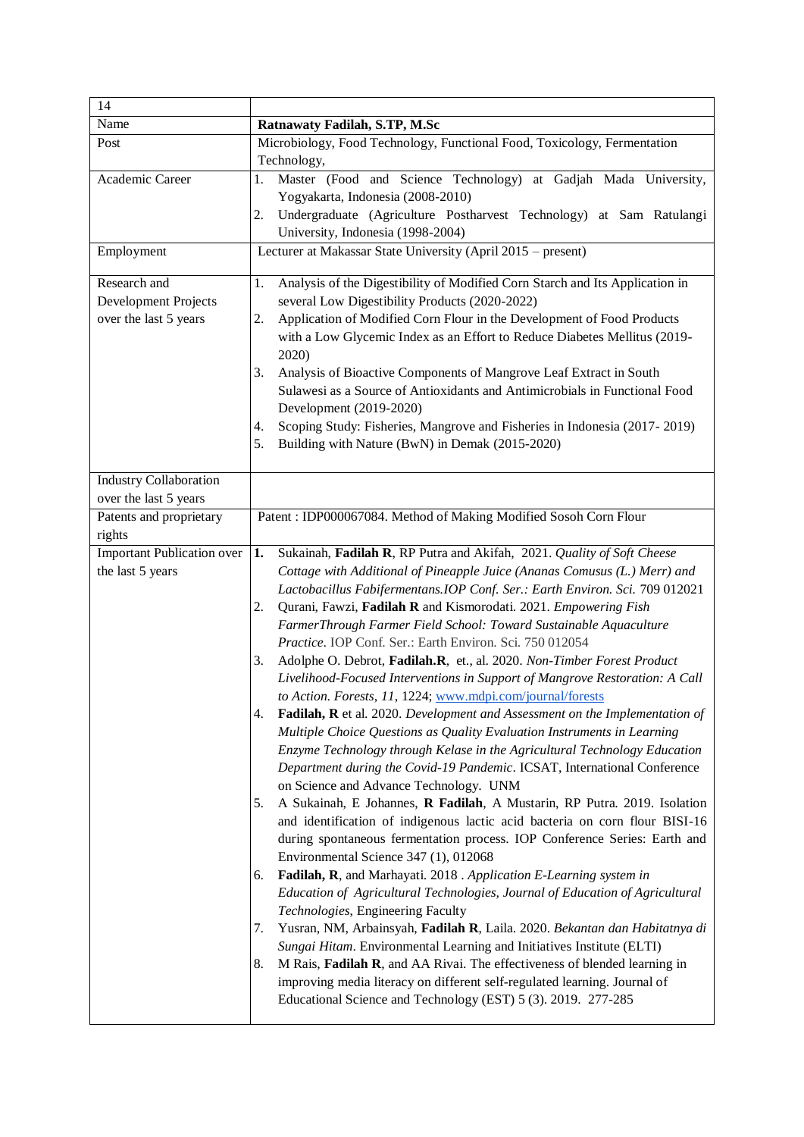| 14                                                            |                                                                                                                                                                                                                                                                                                                                                                                                                                                                                                                                                                                                                                                                                                                                                                                                                                                                                                                                                                                                                                                                                                                                                                                                                                                                                                                                                                                                                                                                                                                                                                                                                                                                                                                                                                                                                                                                                                                                           |
|---------------------------------------------------------------|-------------------------------------------------------------------------------------------------------------------------------------------------------------------------------------------------------------------------------------------------------------------------------------------------------------------------------------------------------------------------------------------------------------------------------------------------------------------------------------------------------------------------------------------------------------------------------------------------------------------------------------------------------------------------------------------------------------------------------------------------------------------------------------------------------------------------------------------------------------------------------------------------------------------------------------------------------------------------------------------------------------------------------------------------------------------------------------------------------------------------------------------------------------------------------------------------------------------------------------------------------------------------------------------------------------------------------------------------------------------------------------------------------------------------------------------------------------------------------------------------------------------------------------------------------------------------------------------------------------------------------------------------------------------------------------------------------------------------------------------------------------------------------------------------------------------------------------------------------------------------------------------------------------------------------------------|
| Name                                                          | Ratnawaty Fadilah, S.TP, M.Sc                                                                                                                                                                                                                                                                                                                                                                                                                                                                                                                                                                                                                                                                                                                                                                                                                                                                                                                                                                                                                                                                                                                                                                                                                                                                                                                                                                                                                                                                                                                                                                                                                                                                                                                                                                                                                                                                                                             |
| Post                                                          | Microbiology, Food Technology, Functional Food, Toxicology, Fermentation<br>Technology,                                                                                                                                                                                                                                                                                                                                                                                                                                                                                                                                                                                                                                                                                                                                                                                                                                                                                                                                                                                                                                                                                                                                                                                                                                                                                                                                                                                                                                                                                                                                                                                                                                                                                                                                                                                                                                                   |
| Academic Career                                               | Master (Food and Science Technology) at Gadjah Mada University,<br>1.<br>Yogyakarta, Indonesia (2008-2010)<br>Undergraduate (Agriculture Postharvest Technology) at Sam Ratulangi<br>2.<br>University, Indonesia (1998-2004)                                                                                                                                                                                                                                                                                                                                                                                                                                                                                                                                                                                                                                                                                                                                                                                                                                                                                                                                                                                                                                                                                                                                                                                                                                                                                                                                                                                                                                                                                                                                                                                                                                                                                                              |
| Employment                                                    | Lecturer at Makassar State University (April 2015 – present)                                                                                                                                                                                                                                                                                                                                                                                                                                                                                                                                                                                                                                                                                                                                                                                                                                                                                                                                                                                                                                                                                                                                                                                                                                                                                                                                                                                                                                                                                                                                                                                                                                                                                                                                                                                                                                                                              |
| Research and<br>Development Projects<br>over the last 5 years | Analysis of the Digestibility of Modified Corn Starch and Its Application in<br>1.<br>several Low Digestibility Products (2020-2022)<br>Application of Modified Corn Flour in the Development of Food Products<br>2.<br>with a Low Glycemic Index as an Effort to Reduce Diabetes Mellitus (2019-<br>2020)<br>Analysis of Bioactive Components of Mangrove Leaf Extract in South<br>3.<br>Sulawesi as a Source of Antioxidants and Antimicrobials in Functional Food<br>Development (2019-2020)<br>Scoping Study: Fisheries, Mangrove and Fisheries in Indonesia (2017-2019)<br>4.<br>5.<br>Building with Nature (BwN) in Demak (2015-2020)                                                                                                                                                                                                                                                                                                                                                                                                                                                                                                                                                                                                                                                                                                                                                                                                                                                                                                                                                                                                                                                                                                                                                                                                                                                                                               |
| <b>Industry Collaboration</b><br>over the last 5 years        |                                                                                                                                                                                                                                                                                                                                                                                                                                                                                                                                                                                                                                                                                                                                                                                                                                                                                                                                                                                                                                                                                                                                                                                                                                                                                                                                                                                                                                                                                                                                                                                                                                                                                                                                                                                                                                                                                                                                           |
| Patents and proprietary<br>rights                             | Patent: IDP000067084. Method of Making Modified Sosoh Corn Flour                                                                                                                                                                                                                                                                                                                                                                                                                                                                                                                                                                                                                                                                                                                                                                                                                                                                                                                                                                                                                                                                                                                                                                                                                                                                                                                                                                                                                                                                                                                                                                                                                                                                                                                                                                                                                                                                          |
| <b>Important Publication over</b><br>the last 5 years         | 1.<br>Sukainah, Fadilah R, RP Putra and Akifah, 2021. Quality of Soft Cheese<br>Cottage with Additional of Pineapple Juice (Ananas Comusus (L.) Merr) and<br>Lactobacillus Fabifermentans. IOP Conf. Ser.: Earth Environ. Sci. 709 012021<br>Qurani, Fawzi, Fadilah R and Kismorodati. 2021. Empowering Fish<br>2.<br>FarmerThrough Farmer Field School: Toward Sustainable Aquaculture<br>Practice. IOP Conf. Ser.: Earth Environ. Sci. 750 012054<br>Adolphe O. Debrot, Fadilah.R, et., al. 2020. Non-Timber Forest Product<br>3.<br>Livelihood-Focused Interventions in Support of Mangrove Restoration: A Call<br>to Action. Forests, 11, 1224; www.mdpi.com/journal/forests<br>4.<br>Fadilah, R et al. 2020. Development and Assessment on the Implementation of<br>Multiple Choice Questions as Quality Evaluation Instruments in Learning<br>Enzyme Technology through Kelase in the Agricultural Technology Education<br>Department during the Covid-19 Pandemic. ICSAT, International Conference<br>on Science and Advance Technology. UNM<br>A Sukainah, E Johannes, R Fadilah, A Mustarin, RP Putra. 2019. Isolation<br>5.<br>and identification of indigenous lactic acid bacteria on corn flour BISI-16<br>during spontaneous fermentation process. IOP Conference Series: Earth and<br>Environmental Science 347 (1), 012068<br>Fadilah, R, and Marhayati. 2018 . Application E-Learning system in<br>6.<br>Education of Agricultural Technologies, Journal of Education of Agricultural<br>Technologies, Engineering Faculty<br>Yusran, NM, Arbainsyah, Fadilah R, Laila. 2020. Bekantan dan Habitatnya di<br>7.<br>Sungai Hitam. Environmental Learning and Initiatives Institute (ELTI)<br>M Rais, Fadilah R, and AA Rivai. The effectiveness of blended learning in<br>8.<br>improving media literacy on different self-regulated learning. Journal of<br>Educational Science and Technology (EST) 5 (3). 2019. 277-285 |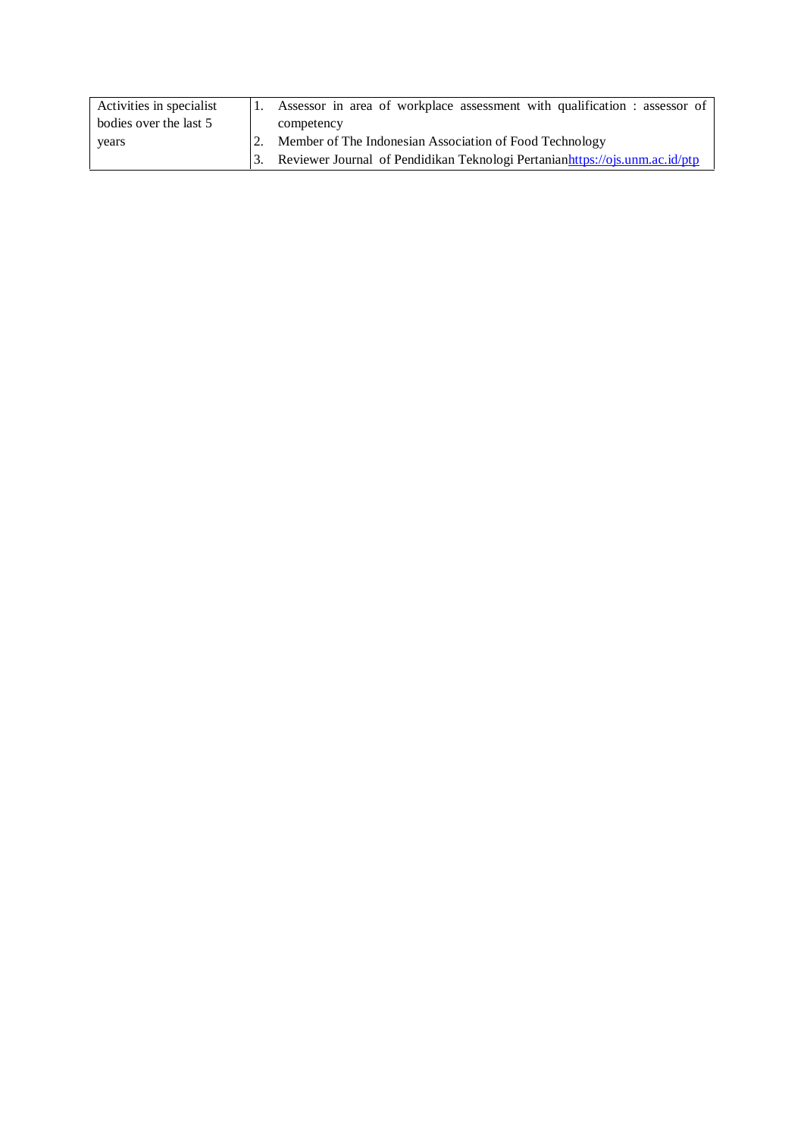| Activities in specialist | Assessor in area of workplace assessment with qualification : assessor of   |
|--------------------------|-----------------------------------------------------------------------------|
| bodies over the last 5   | competency                                                                  |
| years                    | Member of The Indonesian Association of Food Technology                     |
|                          | Reviewer Journal of Pendidikan Teknologi Pertanianhttps://ojs.unm.ac.id/ptp |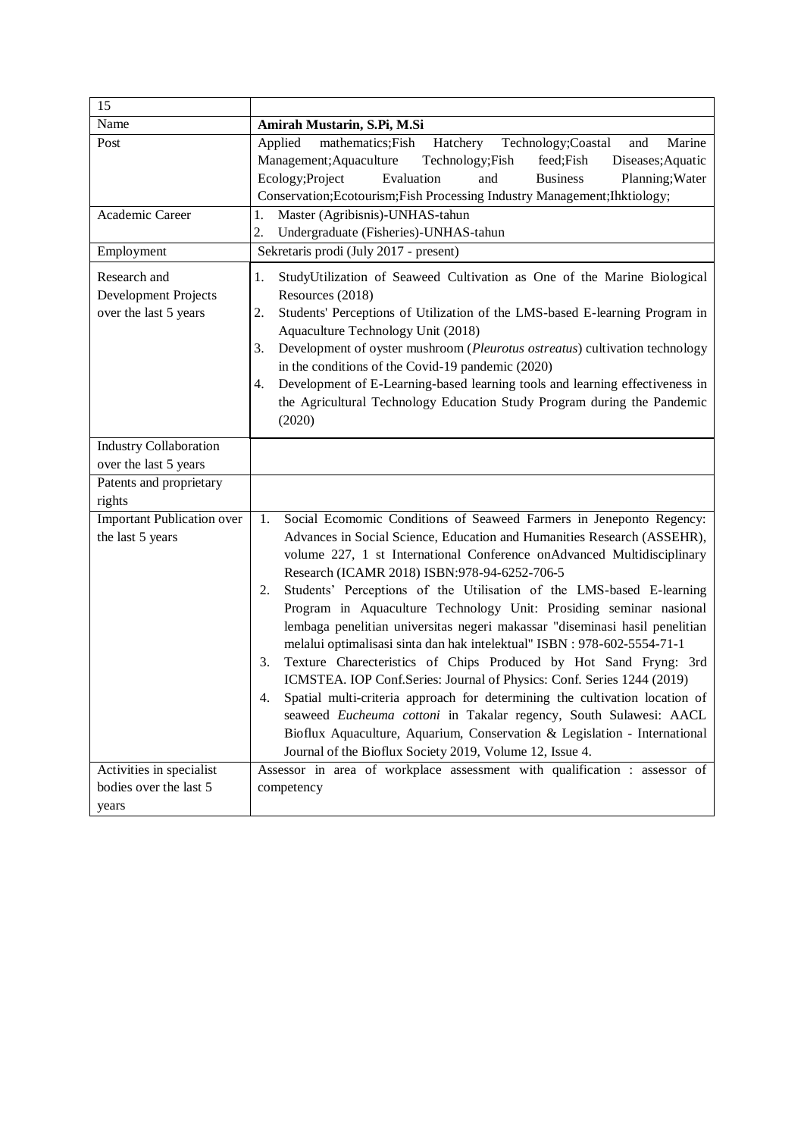| 15                                                            |                                                                                                                                                                                                                                                                                                                                                                                                                                                                                                                                                                                                                                                                                                                                                                                                                                                                                                                                                                                                                                                      |
|---------------------------------------------------------------|------------------------------------------------------------------------------------------------------------------------------------------------------------------------------------------------------------------------------------------------------------------------------------------------------------------------------------------------------------------------------------------------------------------------------------------------------------------------------------------------------------------------------------------------------------------------------------------------------------------------------------------------------------------------------------------------------------------------------------------------------------------------------------------------------------------------------------------------------------------------------------------------------------------------------------------------------------------------------------------------------------------------------------------------------|
| Name                                                          | Amirah Mustarin, S.Pi, M.Si                                                                                                                                                                                                                                                                                                                                                                                                                                                                                                                                                                                                                                                                                                                                                                                                                                                                                                                                                                                                                          |
| Post                                                          | Applied<br>mathematics; Fish<br>Hatchery<br>Technology; Coastal<br>and<br>Marine<br>Management; Aquaculture<br>Technology; Fish<br>Diseases; Aquatic<br>feed;Fish<br>Ecology; Project<br>Evaluation<br><b>Business</b><br>Planning; Water<br>and<br>Conservation; Ecotourism; Fish Processing Industry Management; Ihktiology;                                                                                                                                                                                                                                                                                                                                                                                                                                                                                                                                                                                                                                                                                                                       |
| Academic Career                                               | Master (Agribisnis)-UNHAS-tahun<br>1.<br>2.<br>Undergraduate (Fisheries)-UNHAS-tahun                                                                                                                                                                                                                                                                                                                                                                                                                                                                                                                                                                                                                                                                                                                                                                                                                                                                                                                                                                 |
| Employment                                                    | Sekretaris prodi (July 2017 - present)                                                                                                                                                                                                                                                                                                                                                                                                                                                                                                                                                                                                                                                                                                                                                                                                                                                                                                                                                                                                               |
| Research and<br>Development Projects<br>over the last 5 years | StudyUtilization of Seaweed Cultivation as One of the Marine Biological<br>1.<br>Resources (2018)<br>Students' Perceptions of Utilization of the LMS-based E-learning Program in<br>2.<br>Aquaculture Technology Unit (2018)<br>Development of oyster mushroom (Pleurotus ostreatus) cultivation technology<br>3.<br>in the conditions of the Covid-19 pandemic (2020)<br>Development of E-Learning-based learning tools and learning effectiveness in<br>4.<br>the Agricultural Technology Education Study Program during the Pandemic<br>(2020)                                                                                                                                                                                                                                                                                                                                                                                                                                                                                                    |
| <b>Industry Collaboration</b>                                 |                                                                                                                                                                                                                                                                                                                                                                                                                                                                                                                                                                                                                                                                                                                                                                                                                                                                                                                                                                                                                                                      |
| over the last 5 years                                         |                                                                                                                                                                                                                                                                                                                                                                                                                                                                                                                                                                                                                                                                                                                                                                                                                                                                                                                                                                                                                                                      |
| Patents and proprietary                                       |                                                                                                                                                                                                                                                                                                                                                                                                                                                                                                                                                                                                                                                                                                                                                                                                                                                                                                                                                                                                                                                      |
| rights                                                        |                                                                                                                                                                                                                                                                                                                                                                                                                                                                                                                                                                                                                                                                                                                                                                                                                                                                                                                                                                                                                                                      |
| <b>Important Publication over</b><br>the last 5 years         | Social Ecomomic Conditions of Seaweed Farmers in Jeneponto Regency:<br>1.<br>Advances in Social Science, Education and Humanities Research (ASSEHR),<br>volume 227, 1 st International Conference onAdvanced Multidisciplinary<br>Research (ICAMR 2018) ISBN:978-94-6252-706-5<br>Students' Perceptions of the Utilisation of the LMS-based E-learning<br>2.<br>Program in Aquaculture Technology Unit: Prosiding seminar nasional<br>lembaga penelitian universitas negeri makassar "diseminasi hasil penelitian<br>melalui optimalisasi sinta dan hak intelektual" ISBN : 978-602-5554-71-1<br>Texture Charecteristics of Chips Produced by Hot Sand Fryng: 3rd<br>3.<br>ICMSTEA. IOP Conf.Series: Journal of Physics: Conf. Series 1244 (2019)<br>Spatial multi-criteria approach for determining the cultivation location of<br>4.<br>seaweed Eucheuma cottoni in Takalar regency, South Sulawesi: AACL<br>Bioflux Aquaculture, Aquarium, Conservation & Legislation - International<br>Journal of the Bioflux Society 2019, Volume 12, Issue 4. |
| Activities in specialist                                      | Assessor in area of workplace assessment with qualification : assessor of                                                                                                                                                                                                                                                                                                                                                                                                                                                                                                                                                                                                                                                                                                                                                                                                                                                                                                                                                                            |
| bodies over the last 5                                        | competency                                                                                                                                                                                                                                                                                                                                                                                                                                                                                                                                                                                                                                                                                                                                                                                                                                                                                                                                                                                                                                           |
| years                                                         |                                                                                                                                                                                                                                                                                                                                                                                                                                                                                                                                                                                                                                                                                                                                                                                                                                                                                                                                                                                                                                                      |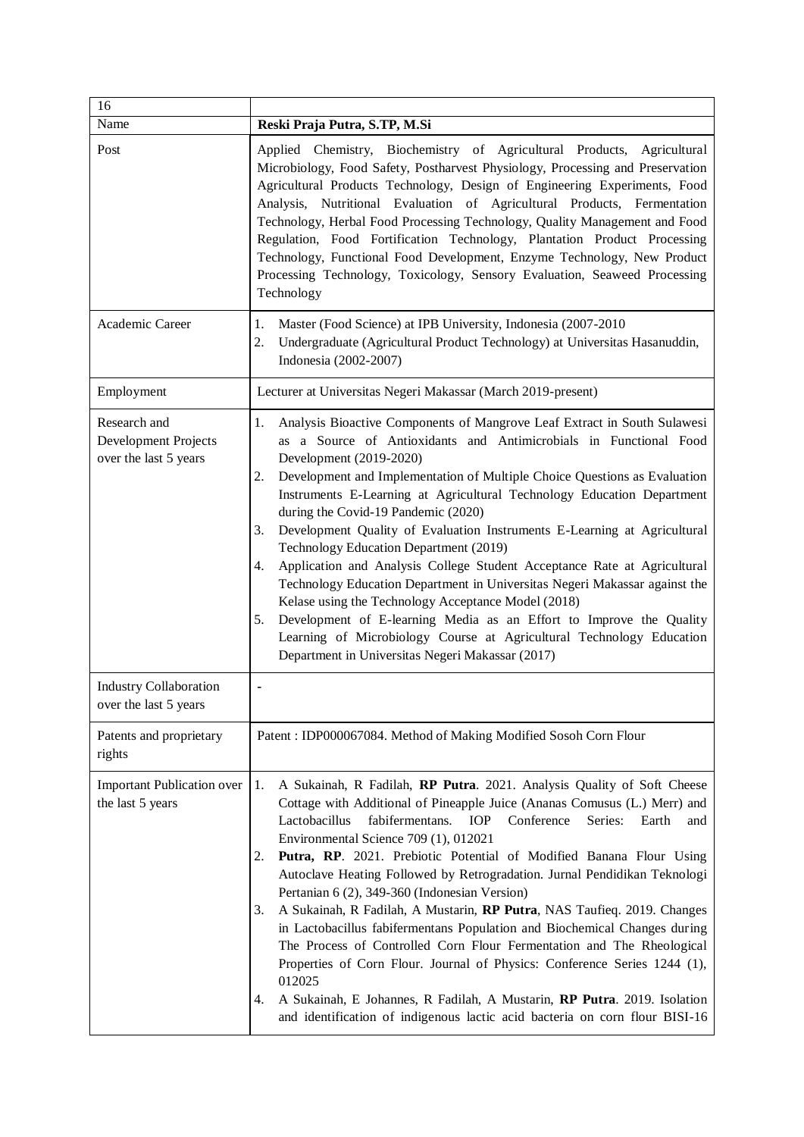| 16<br>Name                                                    | Reski Praja Putra, S.TP, M.Si                                                                                                                                                                                                                                                                                                                                                                                                                                                                                                                                                                                                                                                                                                                                                                                                                                                                                                                                                                           |
|---------------------------------------------------------------|---------------------------------------------------------------------------------------------------------------------------------------------------------------------------------------------------------------------------------------------------------------------------------------------------------------------------------------------------------------------------------------------------------------------------------------------------------------------------------------------------------------------------------------------------------------------------------------------------------------------------------------------------------------------------------------------------------------------------------------------------------------------------------------------------------------------------------------------------------------------------------------------------------------------------------------------------------------------------------------------------------|
| Post                                                          | Applied Chemistry, Biochemistry of Agricultural Products, Agricultural<br>Microbiology, Food Safety, Postharvest Physiology, Processing and Preservation<br>Agricultural Products Technology, Design of Engineering Experiments, Food<br>Analysis, Nutritional Evaluation of Agricultural Products, Fermentation<br>Technology, Herbal Food Processing Technology, Quality Management and Food<br>Regulation, Food Fortification Technology, Plantation Product Processing<br>Technology, Functional Food Development, Enzyme Technology, New Product<br>Processing Technology, Toxicology, Sensory Evaluation, Seaweed Processing<br>Technology                                                                                                                                                                                                                                                                                                                                                        |
| Academic Career                                               | Master (Food Science) at IPB University, Indonesia (2007-2010<br>1.<br>2.<br>Undergraduate (Agricultural Product Technology) at Universitas Hasanuddin,<br>Indonesia (2002-2007)                                                                                                                                                                                                                                                                                                                                                                                                                                                                                                                                                                                                                                                                                                                                                                                                                        |
| Employment                                                    | Lecturer at Universitas Negeri Makassar (March 2019-present)                                                                                                                                                                                                                                                                                                                                                                                                                                                                                                                                                                                                                                                                                                                                                                                                                                                                                                                                            |
| Research and<br>Development Projects<br>over the last 5 years | Analysis Bioactive Components of Mangrove Leaf Extract in South Sulawesi<br>1.<br>as a Source of Antioxidants and Antimicrobials in Functional Food<br>Development (2019-2020)<br>Development and Implementation of Multiple Choice Questions as Evaluation<br>2.<br>Instruments E-Learning at Agricultural Technology Education Department<br>during the Covid-19 Pandemic (2020)<br>Development Quality of Evaluation Instruments E-Learning at Agricultural<br>3.<br>Technology Education Department (2019)<br>Application and Analysis College Student Acceptance Rate at Agricultural<br>4.<br>Technology Education Department in Universitas Negeri Makassar against the<br>Kelase using the Technology Acceptance Model (2018)<br>Development of E-learning Media as an Effort to Improve the Quality<br>5.<br>Learning of Microbiology Course at Agricultural Technology Education<br>Department in Universitas Negeri Makassar (2017)                                                          |
| <b>Industry Collaboration</b><br>over the last 5 years        | ٠                                                                                                                                                                                                                                                                                                                                                                                                                                                                                                                                                                                                                                                                                                                                                                                                                                                                                                                                                                                                       |
| Patents and proprietary<br>rights                             | Patent: IDP000067084. Method of Making Modified Sosoh Corn Flour                                                                                                                                                                                                                                                                                                                                                                                                                                                                                                                                                                                                                                                                                                                                                                                                                                                                                                                                        |
| <b>Important Publication over</b><br>the last 5 years         | 1.<br>A Sukainah, R Fadilah, RP Putra. 2021. Analysis Quality of Soft Cheese<br>Cottage with Additional of Pineapple Juice (Ananas Comusus (L.) Merr) and<br>fabifermentans.<br>Conference<br>Lactobacillus<br><b>IOP</b><br>Series:<br>Earth<br>and<br>Environmental Science 709 (1), 012021<br>Putra, RP. 2021. Prebiotic Potential of Modified Banana Flour Using<br>2.<br>Autoclave Heating Followed by Retrogradation. Jurnal Pendidikan Teknologi<br>Pertanian 6 (2), 349-360 (Indonesian Version)<br>A Sukainah, R Fadilah, A Mustarin, RP Putra, NAS Taufieq. 2019. Changes<br>3.<br>in Lactobacillus fabifermentans Population and Biochemical Changes during<br>The Process of Controlled Corn Flour Fermentation and The Rheological<br>Properties of Corn Flour. Journal of Physics: Conference Series 1244 (1),<br>012025<br>A Sukainah, E Johannes, R Fadilah, A Mustarin, RP Putra. 2019. Isolation<br>4.<br>and identification of indigenous lactic acid bacteria on corn flour BISI-16 |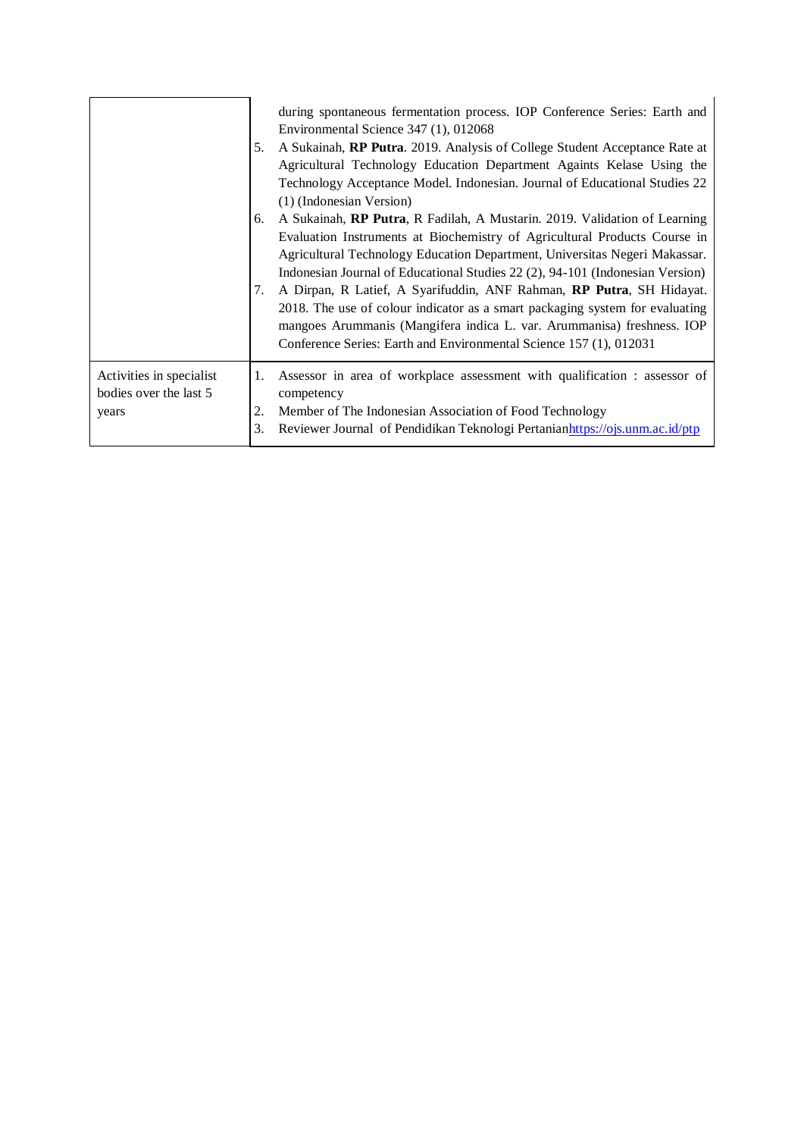|                                                             | 5.             | during spontaneous fermentation process. IOP Conference Series: Earth and<br>Environmental Science 347 (1), 012068<br>A Sukainah, RP Putra. 2019. Analysis of College Student Acceptance Rate at<br>Agricultural Technology Education Department Againts Kelase Using the<br>Technology Acceptance Model. Indonesian. Journal of Educational Studies 22<br>(1) (Indonesian Version) |
|-------------------------------------------------------------|----------------|-------------------------------------------------------------------------------------------------------------------------------------------------------------------------------------------------------------------------------------------------------------------------------------------------------------------------------------------------------------------------------------|
|                                                             | 6.             | A Sukainah, <b>RP Putra</b> , R Fadilah, A Mustarin. 2019. Validation of Learning<br>Evaluation Instruments at Biochemistry of Agricultural Products Course in<br>Agricultural Technology Education Department, Universitas Negeri Makassar.<br>Indonesian Journal of Educational Studies 22 (2), 94-101 (Indonesian Version)                                                       |
|                                                             | 7.             | A Dirpan, R Latief, A Syarifuddin, ANF Rahman, RP Putra, SH Hidayat.<br>2018. The use of colour indicator as a smart packaging system for evaluating<br>mangoes Arummanis (Mangifera indica L. var. Arummanisa) freshness. IOP<br>Conference Series: Earth and Environmental Science 157 (1), 012031                                                                                |
| Activities in specialist<br>bodies over the last 5<br>years | 1.<br>2.<br>3. | Assessor in area of workplace assessment with qualification : assessor of<br>competency<br>Member of The Indonesian Association of Food Technology<br>Reviewer Journal of Pendidikan Teknologi Pertanianhttps://ojs.unm.ac.id/ptp                                                                                                                                                   |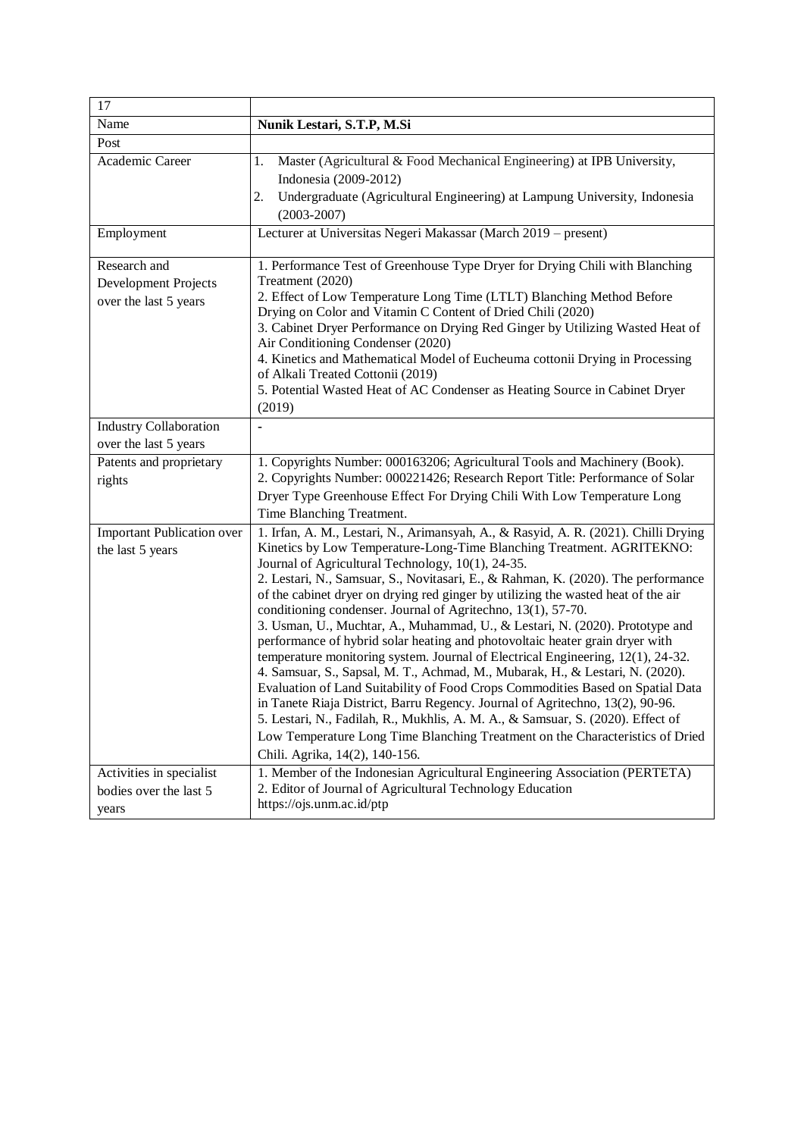| 17                                                                                |                                                                                                                                                                                                                                                                                                                                                                                                                                                                                                                                                                                                                                                                                                                                                                                                                                                                                                                                                                                                                                                                                                                                                                                                                                                        |
|-----------------------------------------------------------------------------------|--------------------------------------------------------------------------------------------------------------------------------------------------------------------------------------------------------------------------------------------------------------------------------------------------------------------------------------------------------------------------------------------------------------------------------------------------------------------------------------------------------------------------------------------------------------------------------------------------------------------------------------------------------------------------------------------------------------------------------------------------------------------------------------------------------------------------------------------------------------------------------------------------------------------------------------------------------------------------------------------------------------------------------------------------------------------------------------------------------------------------------------------------------------------------------------------------------------------------------------------------------|
| Name                                                                              | Nunik Lestari, S.T.P, M.Si                                                                                                                                                                                                                                                                                                                                                                                                                                                                                                                                                                                                                                                                                                                                                                                                                                                                                                                                                                                                                                                                                                                                                                                                                             |
| Post                                                                              |                                                                                                                                                                                                                                                                                                                                                                                                                                                                                                                                                                                                                                                                                                                                                                                                                                                                                                                                                                                                                                                                                                                                                                                                                                                        |
| Academic Career                                                                   | Master (Agricultural & Food Mechanical Engineering) at IPB University,<br>1.<br>Indonesia (2009-2012)<br>Undergraduate (Agricultural Engineering) at Lampung University, Indonesia<br>2.<br>$(2003 - 2007)$                                                                                                                                                                                                                                                                                                                                                                                                                                                                                                                                                                                                                                                                                                                                                                                                                                                                                                                                                                                                                                            |
| Employment                                                                        | Lecturer at Universitas Negeri Makassar (March 2019 - present)                                                                                                                                                                                                                                                                                                                                                                                                                                                                                                                                                                                                                                                                                                                                                                                                                                                                                                                                                                                                                                                                                                                                                                                         |
| Research and<br>Development Projects<br>over the last 5 years                     | 1. Performance Test of Greenhouse Type Dryer for Drying Chili with Blanching<br>Treatment (2020)<br>2. Effect of Low Temperature Long Time (LTLT) Blanching Method Before<br>Drying on Color and Vitamin C Content of Dried Chili (2020)<br>3. Cabinet Dryer Performance on Drying Red Ginger by Utilizing Wasted Heat of<br>Air Conditioning Condenser (2020)<br>4. Kinetics and Mathematical Model of Eucheuma cottonii Drying in Processing<br>of Alkali Treated Cottonii (2019)<br>5. Potential Wasted Heat of AC Condenser as Heating Source in Cabinet Dryer<br>(2019)                                                                                                                                                                                                                                                                                                                                                                                                                                                                                                                                                                                                                                                                           |
| <b>Industry Collaboration</b><br>over the last 5 years                            |                                                                                                                                                                                                                                                                                                                                                                                                                                                                                                                                                                                                                                                                                                                                                                                                                                                                                                                                                                                                                                                                                                                                                                                                                                                        |
| Patents and proprietary<br>rights                                                 | 1. Copyrights Number: 000163206; Agricultural Tools and Machinery (Book).<br>2. Copyrights Number: 000221426; Research Report Title: Performance of Solar<br>Dryer Type Greenhouse Effect For Drying Chili With Low Temperature Long<br>Time Blanching Treatment.                                                                                                                                                                                                                                                                                                                                                                                                                                                                                                                                                                                                                                                                                                                                                                                                                                                                                                                                                                                      |
| <b>Important Publication over</b><br>the last 5 years<br>Activities in specialist | 1. Irfan, A. M., Lestari, N., Arimansyah, A., & Rasyid, A. R. (2021). Chilli Drying<br>Kinetics by Low Temperature-Long-Time Blanching Treatment. AGRITEKNO:<br>Journal of Agricultural Technology, 10(1), 24-35.<br>2. Lestari, N., Samsuar, S., Novitasari, E., & Rahman, K. (2020). The performance<br>of the cabinet dryer on drying red ginger by utilizing the wasted heat of the air<br>conditioning condenser. Journal of Agritechno, 13(1), 57-70.<br>3. Usman, U., Muchtar, A., Muhammad, U., & Lestari, N. (2020). Prototype and<br>performance of hybrid solar heating and photovoltaic heater grain dryer with<br>temperature monitoring system. Journal of Electrical Engineering, 12(1), 24-32.<br>4. Samsuar, S., Sapsal, M. T., Achmad, M., Mubarak, H., & Lestari, N. (2020).<br>Evaluation of Land Suitability of Food Crops Commodities Based on Spatial Data<br>in Tanete Riaja District, Barru Regency. Journal of Agritechno, 13(2), 90-96.<br>5. Lestari, N., Fadilah, R., Mukhlis, A. M. A., & Samsuar, S. (2020). Effect of<br>Low Temperature Long Time Blanching Treatment on the Characteristics of Dried<br>Chili. Agrika, 14(2), 140-156.<br>1. Member of the Indonesian Agricultural Engineering Association (PERTETA) |
| bodies over the last 5<br>years                                                   | 2. Editor of Journal of Agricultural Technology Education<br>https://ojs.unm.ac.id/ptp                                                                                                                                                                                                                                                                                                                                                                                                                                                                                                                                                                                                                                                                                                                                                                                                                                                                                                                                                                                                                                                                                                                                                                 |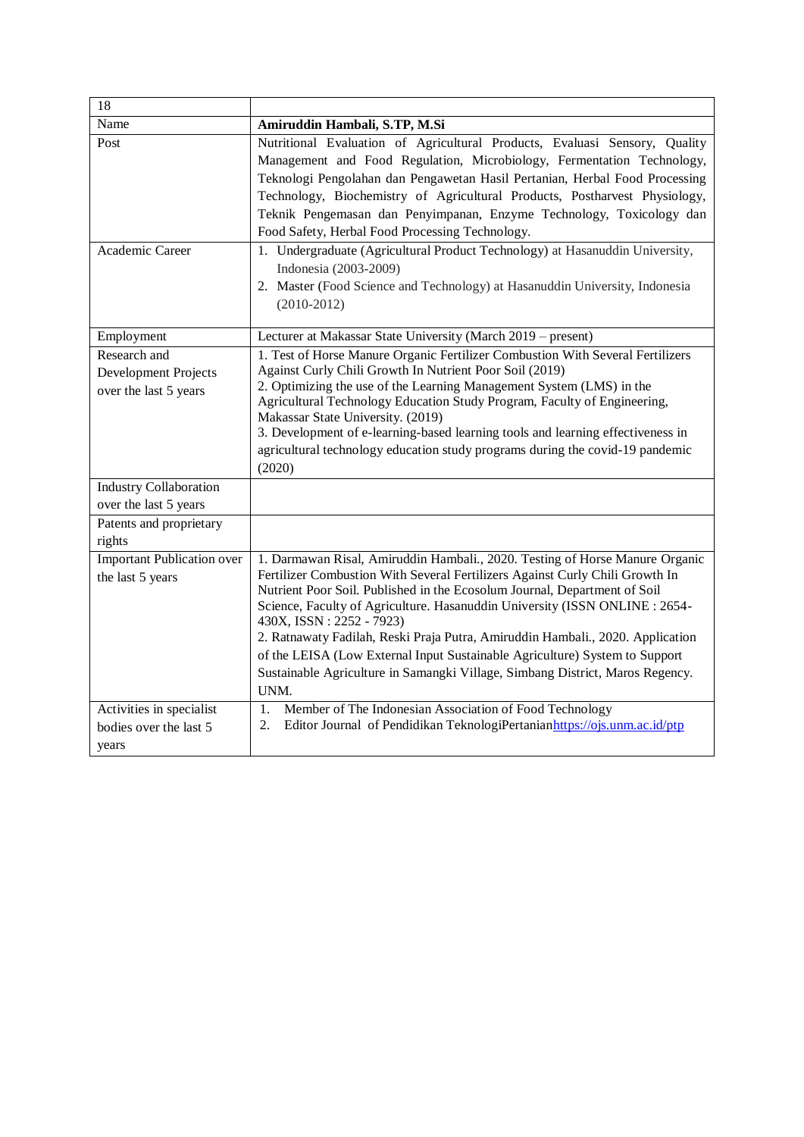| 18                                                            |                                                                                                                                                                                                                                                                                                                                                                                                                                                                                                                                                                                                                |
|---------------------------------------------------------------|----------------------------------------------------------------------------------------------------------------------------------------------------------------------------------------------------------------------------------------------------------------------------------------------------------------------------------------------------------------------------------------------------------------------------------------------------------------------------------------------------------------------------------------------------------------------------------------------------------------|
| Name                                                          | Amiruddin Hambali, S.TP, M.Si                                                                                                                                                                                                                                                                                                                                                                                                                                                                                                                                                                                  |
| Post                                                          | Nutritional Evaluation of Agricultural Products, Evaluasi Sensory, Quality<br>Management and Food Regulation, Microbiology, Fermentation Technology,<br>Teknologi Pengolahan dan Pengawetan Hasil Pertanian, Herbal Food Processing<br>Technology, Biochemistry of Agricultural Products, Postharvest Physiology,<br>Teknik Pengemasan dan Penyimpanan, Enzyme Technology, Toxicology dan<br>Food Safety, Herbal Food Processing Technology.                                                                                                                                                                   |
| Academic Career                                               | 1. Undergraduate (Agricultural Product Technology) at Hasanuddin University,<br>Indonesia (2003-2009)<br>2. Master (Food Science and Technology) at Hasanuddin University, Indonesia<br>$(2010-2012)$                                                                                                                                                                                                                                                                                                                                                                                                          |
| Employment                                                    | Lecturer at Makassar State University (March 2019 - present)                                                                                                                                                                                                                                                                                                                                                                                                                                                                                                                                                   |
| Research and<br>Development Projects<br>over the last 5 years | 1. Test of Horse Manure Organic Fertilizer Combustion With Several Fertilizers<br>Against Curly Chili Growth In Nutrient Poor Soil (2019)<br>2. Optimizing the use of the Learning Management System (LMS) in the<br>Agricultural Technology Education Study Program, Faculty of Engineering,<br>Makassar State University. (2019)<br>3. Development of e-learning-based learning tools and learning effectiveness in<br>agricultural technology education study programs during the covid-19 pandemic<br>(2020)                                                                                               |
| <b>Industry Collaboration</b>                                 |                                                                                                                                                                                                                                                                                                                                                                                                                                                                                                                                                                                                                |
| over the last 5 years<br>Patents and proprietary<br>rights    |                                                                                                                                                                                                                                                                                                                                                                                                                                                                                                                                                                                                                |
| <b>Important Publication over</b><br>the last 5 years         | 1. Darmawan Risal, Amiruddin Hambali., 2020. Testing of Horse Manure Organic<br>Fertilizer Combustion With Several Fertilizers Against Curly Chili Growth In<br>Nutrient Poor Soil. Published in the Ecosolum Journal, Department of Soil<br>Science, Faculty of Agriculture. Hasanuddin University (ISSN ONLINE : 2654-<br>430X, ISSN: 2252 - 7923)<br>2. Ratnawaty Fadilah, Reski Praja Putra, Amiruddin Hambali., 2020. Application<br>of the LEISA (Low External Input Sustainable Agriculture) System to Support<br>Sustainable Agriculture in Samangki Village, Simbang District, Maros Regency.<br>UNM. |
| Activities in specialist<br>bodies over the last 5<br>years   | 1.<br>Member of The Indonesian Association of Food Technology<br>Editor Journal of Pendidikan TeknologiPertanianhttps://ojs.unm.ac.id/ptp<br>2.                                                                                                                                                                                                                                                                                                                                                                                                                                                                |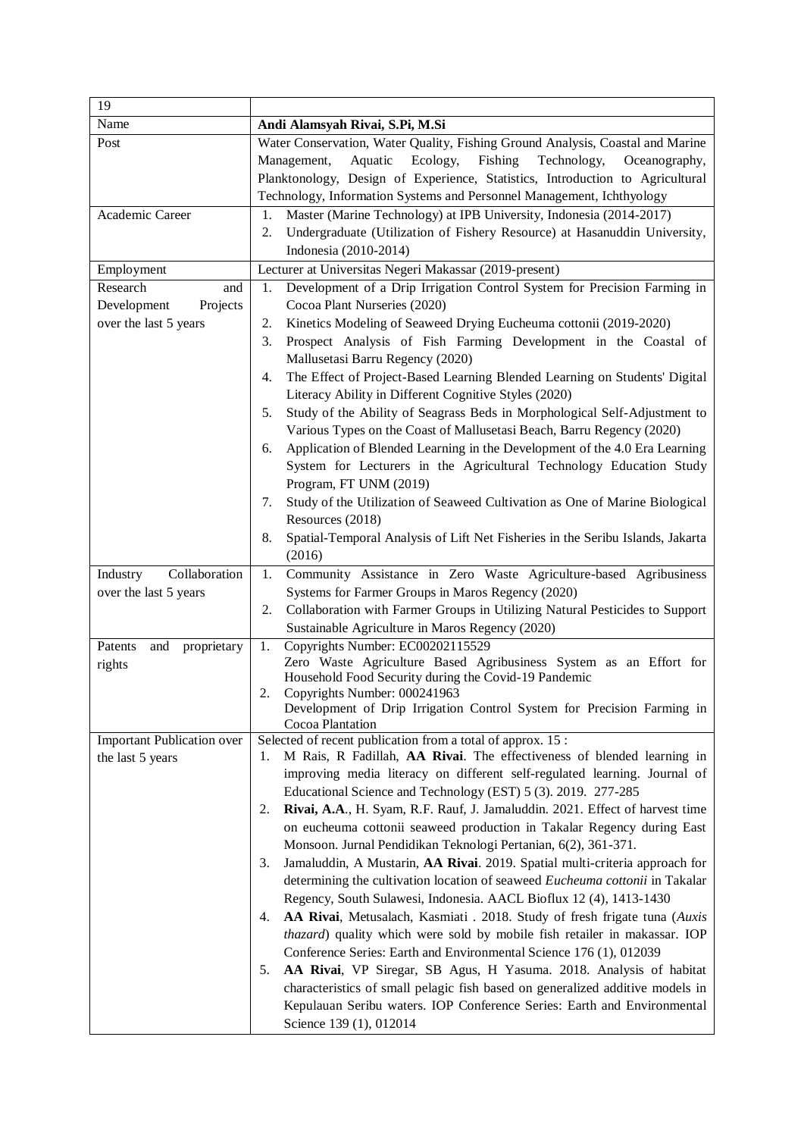| 19                                                                  |                                                                                                                                                                                                                                                                                                                                                                                                                                                                                                                                                                                                                   |
|---------------------------------------------------------------------|-------------------------------------------------------------------------------------------------------------------------------------------------------------------------------------------------------------------------------------------------------------------------------------------------------------------------------------------------------------------------------------------------------------------------------------------------------------------------------------------------------------------------------------------------------------------------------------------------------------------|
| Name                                                                | Andi Alamsyah Rivai, S.Pi, M.Si                                                                                                                                                                                                                                                                                                                                                                                                                                                                                                                                                                                   |
| Post                                                                | Water Conservation, Water Quality, Fishing Ground Analysis, Coastal and Marine<br>Aquatic<br>Ecology,<br>Management,<br>Fishing<br>Technology,<br>Oceanography,<br>Planktonology, Design of Experience, Statistics, Introduction to Agricultural<br>Technology, Information Systems and Personnel Management, Ichthyology                                                                                                                                                                                                                                                                                         |
| Academic Career                                                     | Master (Marine Technology) at IPB University, Indonesia (2014-2017)<br>1.<br>Undergraduate (Utilization of Fishery Resource) at Hasanuddin University,<br>2.<br>Indonesia (2010-2014)                                                                                                                                                                                                                                                                                                                                                                                                                             |
| Employment                                                          | Lecturer at Universitas Negeri Makassar (2019-present)                                                                                                                                                                                                                                                                                                                                                                                                                                                                                                                                                            |
| Research<br>and<br>Development<br>Projects<br>over the last 5 years | Development of a Drip Irrigation Control System for Precision Farming in<br>1.<br>Cocoa Plant Nurseries (2020)<br>Kinetics Modeling of Seaweed Drying Eucheuma cottonii (2019-2020)<br>2.<br>Prospect Analysis of Fish Farming Development in the Coastal of<br>3.<br>Mallusetasi Barru Regency (2020)<br>The Effect of Project-Based Learning Blended Learning on Students' Digital<br>4.                                                                                                                                                                                                                        |
|                                                                     | Literacy Ability in Different Cognitive Styles (2020)<br>Study of the Ability of Seagrass Beds in Morphological Self-Adjustment to<br>5.<br>Various Types on the Coast of Mallusetasi Beach, Barru Regency (2020)<br>Application of Blended Learning in the Development of the 4.0 Era Learning<br>6.<br>System for Lecturers in the Agricultural Technology Education Study<br>Program, FT UNM (2019)<br>Study of the Utilization of Seaweed Cultivation as One of Marine Biological<br>7.<br>Resources (2018)<br>Spatial-Temporal Analysis of Lift Net Fisheries in the Seribu Islands, Jakarta<br>8.<br>(2016) |
| Collaboration<br>Industry                                           | Community Assistance in Zero Waste Agriculture-based Agribusiness<br>1.                                                                                                                                                                                                                                                                                                                                                                                                                                                                                                                                           |
| over the last 5 years                                               | Systems for Farmer Groups in Maros Regency (2020)                                                                                                                                                                                                                                                                                                                                                                                                                                                                                                                                                                 |
|                                                                     | Collaboration with Farmer Groups in Utilizing Natural Pesticides to Support<br>2.<br>Sustainable Agriculture in Maros Regency (2020)                                                                                                                                                                                                                                                                                                                                                                                                                                                                              |
| Patents<br>and<br>proprietary<br>rights                             | Copyrights Number: EC00202115529<br>1.<br>Zero Waste Agriculture Based Agribusiness System as an Effort for<br>Household Food Security during the Covid-19 Pandemic<br>Copyrights Number: 000241963<br>2.<br>Development of Drip Irrigation Control System for Precision Farming in<br>Cocoa Plantation                                                                                                                                                                                                                                                                                                           |
| <b>Important Publication over</b>                                   | Selected of recent publication from a total of approx. 15:                                                                                                                                                                                                                                                                                                                                                                                                                                                                                                                                                        |
| the last 5 years                                                    | M Rais, R Fadillah, AA Rivai. The effectiveness of blended learning in<br>1.<br>improving media literacy on different self-regulated learning. Journal of<br>Educational Science and Technology (EST) 5 (3). 2019. 277-285<br>Rivai, A.A., H. Syam, R.F. Rauf, J. Jamaluddin. 2021. Effect of harvest time<br>2.<br>on eucheuma cottonii seaweed production in Takalar Regency during East<br>Monsoon. Jurnal Pendidikan Teknologi Pertanian, 6(2), 361-371.                                                                                                                                                      |
|                                                                     | Jamaluddin, A Mustarin, AA Rivai. 2019. Spatial multi-criteria approach for<br>3.<br>determining the cultivation location of seaweed Eucheuma cottonii in Takalar<br>Regency, South Sulawesi, Indonesia. AACL Bioflux 12 (4), 1413-1430<br>AA Rivai, Metusalach, Kasmiati . 2018. Study of fresh frigate tuna (Auxis<br>4.<br>thazard) quality which were sold by mobile fish retailer in makassar. IOP<br>Conference Series: Earth and Environmental Science 176 (1), 012039                                                                                                                                     |
|                                                                     | AA Rivai, VP Siregar, SB Agus, H Yasuma. 2018. Analysis of habitat<br>5.<br>characteristics of small pelagic fish based on generalized additive models in<br>Kepulauan Seribu waters. IOP Conference Series: Earth and Environmental<br>Science 139 (1), 012014                                                                                                                                                                                                                                                                                                                                                   |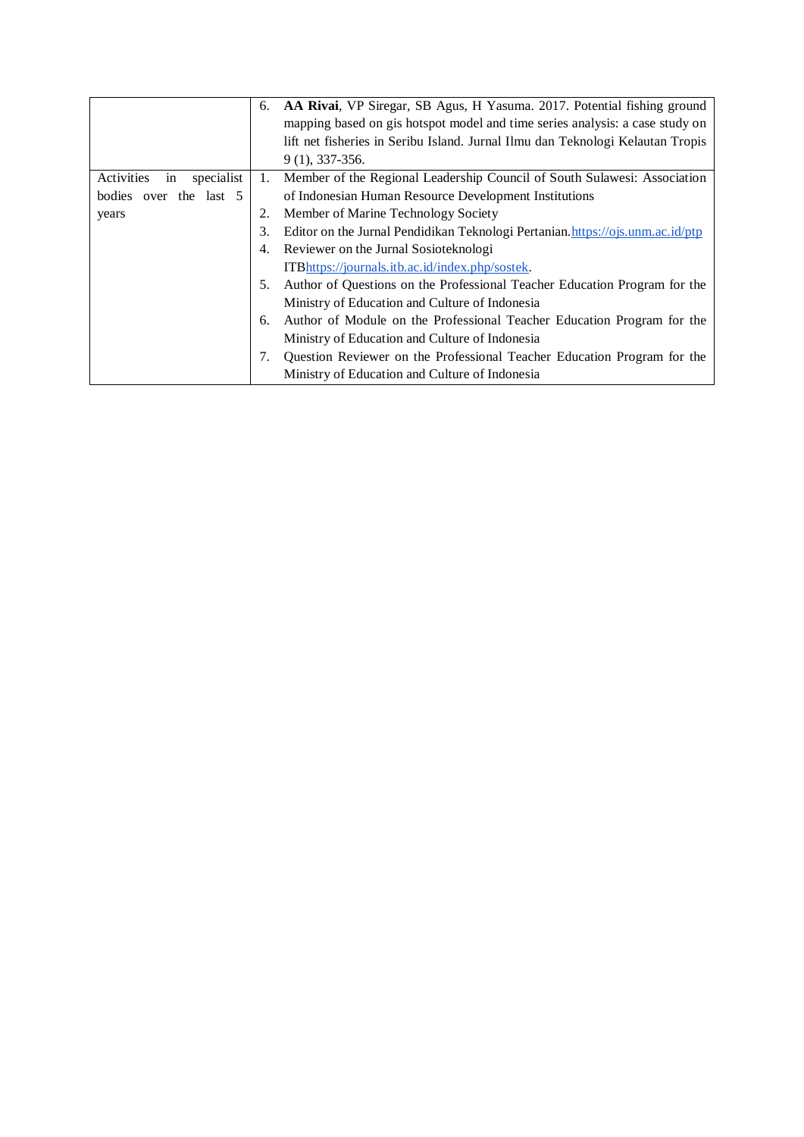|                                | 6. | AA Rivai, VP Siregar, SB Agus, H Yasuma. 2017. Potential fishing ground        |
|--------------------------------|----|--------------------------------------------------------------------------------|
|                                |    | mapping based on gis hotspot model and time series analysis: a case study on   |
|                                |    | lift net fisheries in Seribu Island. Jurnal Ilmu dan Teknologi Kelautan Tropis |
|                                |    | $9(1), 337-356.$                                                               |
| Activities<br>in<br>specialist | 1. | Member of the Regional Leadership Council of South Sulawesi: Association       |
| bodies over the last 5         |    | of Indonesian Human Resource Development Institutions                          |
| years                          |    | Member of Marine Technology Society                                            |
|                                | 3. | Editor on the Jurnal Pendidikan Teknologi Pertanian.https://ojs.unm.ac.id/ptp  |
|                                | 4. | Reviewer on the Jurnal Sosioteknologi                                          |
|                                |    | <b>ITB</b> https://journals.itb.ac.id/index.php/sostek.                        |
|                                | 5. | Author of Questions on the Professional Teacher Education Program for the      |
|                                |    | Ministry of Education and Culture of Indonesia                                 |
|                                | 6. | Author of Module on the Professional Teacher Education Program for the         |
|                                |    | Ministry of Education and Culture of Indonesia                                 |
|                                |    | Question Reviewer on the Professional Teacher Education Program for the        |
|                                |    | Ministry of Education and Culture of Indonesia                                 |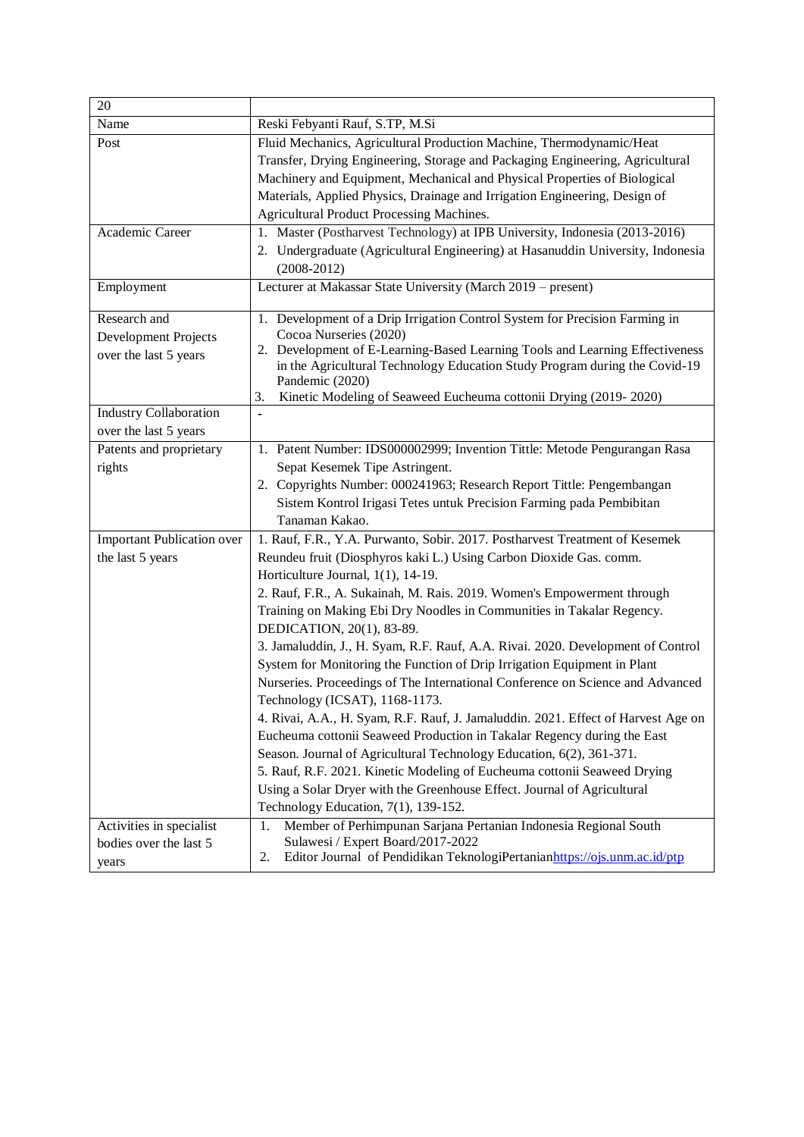| 20                                |                                                                                                                                                            |
|-----------------------------------|------------------------------------------------------------------------------------------------------------------------------------------------------------|
| Name                              | Reski Febyanti Rauf, S.TP, M.Si                                                                                                                            |
| Post                              | Fluid Mechanics, Agricultural Production Machine, Thermodynamic/Heat                                                                                       |
|                                   | Transfer, Drying Engineering, Storage and Packaging Engineering, Agricultural                                                                              |
|                                   | Machinery and Equipment, Mechanical and Physical Properties of Biological                                                                                  |
|                                   | Materials, Applied Physics, Drainage and Irrigation Engineering, Design of                                                                                 |
|                                   | Agricultural Product Processing Machines.                                                                                                                  |
| Academic Career                   | 1. Master (Postharvest Technology) at IPB University, Indonesia (2013-2016)                                                                                |
|                                   | 2. Undergraduate (Agricultural Engineering) at Hasanuddin University, Indonesia                                                                            |
|                                   | $(2008-2012)$                                                                                                                                              |
| Employment                        | Lecturer at Makassar State University (March 2019 – present)                                                                                               |
|                                   |                                                                                                                                                            |
| Research and                      | 1. Development of a Drip Irrigation Control System for Precision Farming in                                                                                |
| Development Projects              | Cocoa Nurseries (2020)                                                                                                                                     |
| over the last 5 years             | 2. Development of E-Learning-Based Learning Tools and Learning Effectiveness<br>in the Agricultural Technology Education Study Program during the Covid-19 |
|                                   | Pandemic (2020)                                                                                                                                            |
|                                   | Kinetic Modeling of Seaweed Eucheuma cottonii Drying (2019-2020)<br>3.                                                                                     |
| <b>Industry Collaboration</b>     | $\blacksquare$                                                                                                                                             |
| over the last 5 years             |                                                                                                                                                            |
| Patents and proprietary           | 1. Patent Number: IDS000002999; Invention Tittle: Metode Pengurangan Rasa                                                                                  |
| rights                            | Sepat Kesemek Tipe Astringent.                                                                                                                             |
|                                   | 2. Copyrights Number: 000241963; Research Report Tittle: Pengembangan                                                                                      |
|                                   | Sistem Kontrol Irigasi Tetes untuk Precision Farming pada Pembibitan                                                                                       |
|                                   | Tanaman Kakao.                                                                                                                                             |
| <b>Important Publication over</b> | 1. Rauf, F.R., Y.A. Purwanto, Sobir. 2017. Postharvest Treatment of Kesemek                                                                                |
| the last 5 years                  | Reundeu fruit (Diosphyros kaki L.) Using Carbon Dioxide Gas. comm.                                                                                         |
|                                   | Horticulture Journal, 1(1), 14-19.                                                                                                                         |
|                                   | 2. Rauf, F.R., A. Sukainah, M. Rais. 2019. Women's Empowerment through                                                                                     |
|                                   | Training on Making Ebi Dry Noodles in Communities in Takalar Regency.                                                                                      |
|                                   | DEDICATION, 20(1), 83-89.                                                                                                                                  |
|                                   | 3. Jamaluddin, J., H. Syam, R.F. Rauf, A.A. Rivai. 2020. Development of Control                                                                            |
|                                   | System for Monitoring the Function of Drip Irrigation Equipment in Plant                                                                                   |
|                                   | Nurseries. Proceedings of The International Conference on Science and Advanced                                                                             |
|                                   | Technology (ICSAT), 1168-1173.                                                                                                                             |
|                                   | 4. Rivai, A.A., H. Syam, R.F. Rauf, J. Jamaluddin. 2021. Effect of Harvest Age on                                                                          |
|                                   | Eucheuma cottonii Seaweed Production in Takalar Regency during the East                                                                                    |
|                                   | Season. Journal of Agricultural Technology Education, 6(2), 361-371.                                                                                       |
|                                   | 5. Rauf, R.F. 2021. Kinetic Modeling of Eucheuma cottonii Seaweed Drying                                                                                   |
|                                   | Using a Solar Dryer with the Greenhouse Effect. Journal of Agricultural                                                                                    |
|                                   | Technology Education, 7(1), 139-152.                                                                                                                       |
| Activities in specialist          | Member of Perhimpunan Sarjana Pertanian Indonesia Regional South<br>1.                                                                                     |
| bodies over the last 5            | Sulawesi / Expert Board/2017-2022                                                                                                                          |
| years                             | Editor Journal of Pendidikan TeknologiPertanianhttps://ojs.unm.ac.id/ptp<br>2.                                                                             |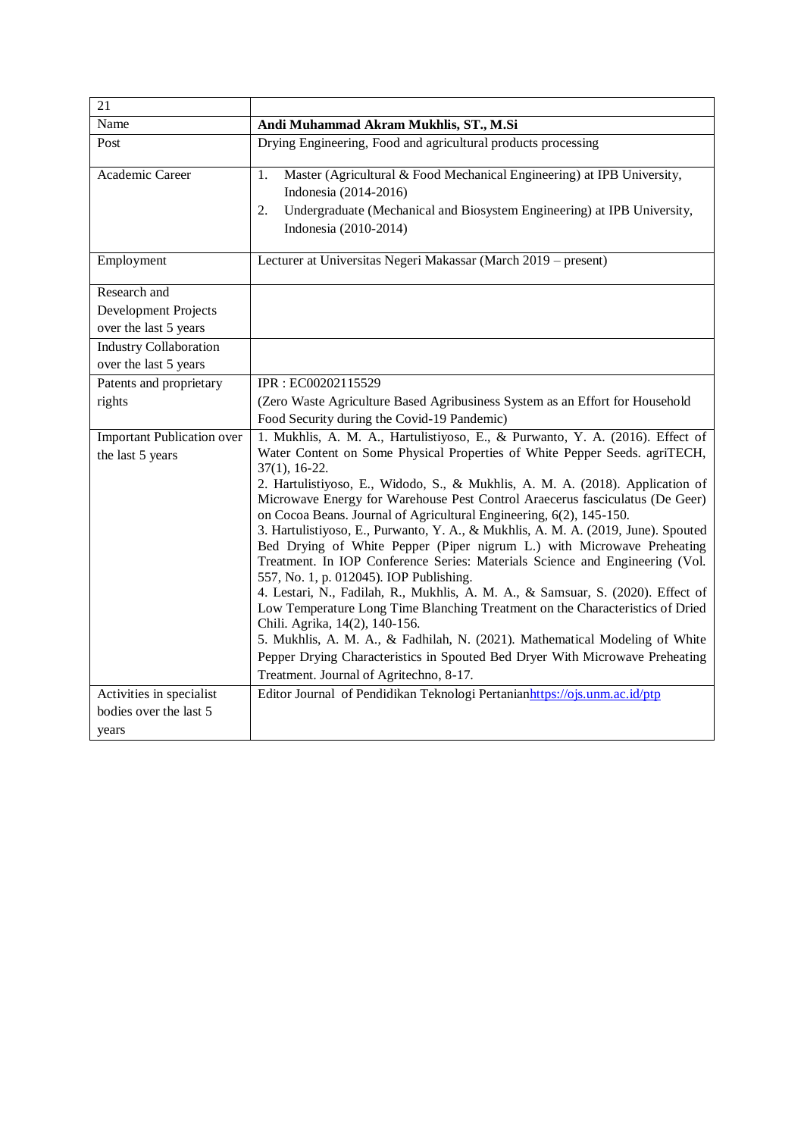| 21                                                            |                                                                                                                                                                                                                                                                                                                                                                                                                                                                                                                                                                                                                                                                                                                                                                                                                                                                                                                                                                                                                                                                                                                                  |
|---------------------------------------------------------------|----------------------------------------------------------------------------------------------------------------------------------------------------------------------------------------------------------------------------------------------------------------------------------------------------------------------------------------------------------------------------------------------------------------------------------------------------------------------------------------------------------------------------------------------------------------------------------------------------------------------------------------------------------------------------------------------------------------------------------------------------------------------------------------------------------------------------------------------------------------------------------------------------------------------------------------------------------------------------------------------------------------------------------------------------------------------------------------------------------------------------------|
| Name                                                          | Andi Muhammad Akram Mukhlis, ST., M.Si                                                                                                                                                                                                                                                                                                                                                                                                                                                                                                                                                                                                                                                                                                                                                                                                                                                                                                                                                                                                                                                                                           |
| Post                                                          | Drying Engineering, Food and agricultural products processing                                                                                                                                                                                                                                                                                                                                                                                                                                                                                                                                                                                                                                                                                                                                                                                                                                                                                                                                                                                                                                                                    |
| Academic Career                                               | Master (Agricultural & Food Mechanical Engineering) at IPB University,<br>1.<br>Indonesia (2014-2016)<br>Undergraduate (Mechanical and Biosystem Engineering) at IPB University,<br>2.<br>Indonesia (2010-2014)                                                                                                                                                                                                                                                                                                                                                                                                                                                                                                                                                                                                                                                                                                                                                                                                                                                                                                                  |
| Employment                                                    | Lecturer at Universitas Negeri Makassar (March 2019 – present)                                                                                                                                                                                                                                                                                                                                                                                                                                                                                                                                                                                                                                                                                                                                                                                                                                                                                                                                                                                                                                                                   |
| Research and<br>Development Projects<br>over the last 5 years |                                                                                                                                                                                                                                                                                                                                                                                                                                                                                                                                                                                                                                                                                                                                                                                                                                                                                                                                                                                                                                                                                                                                  |
| Industry Collaboration<br>over the last 5 years               |                                                                                                                                                                                                                                                                                                                                                                                                                                                                                                                                                                                                                                                                                                                                                                                                                                                                                                                                                                                                                                                                                                                                  |
| Patents and proprietary                                       | IPR: EC00202115529                                                                                                                                                                                                                                                                                                                                                                                                                                                                                                                                                                                                                                                                                                                                                                                                                                                                                                                                                                                                                                                                                                               |
| rights                                                        | (Zero Waste Agriculture Based Agribusiness System as an Effort for Household<br>Food Security during the Covid-19 Pandemic)                                                                                                                                                                                                                                                                                                                                                                                                                                                                                                                                                                                                                                                                                                                                                                                                                                                                                                                                                                                                      |
| <b>Important Publication over</b><br>the last 5 years         | 1. Mukhlis, A. M. A., Hartulistiyoso, E., & Purwanto, Y. A. (2016). Effect of<br>Water Content on Some Physical Properties of White Pepper Seeds. agriTECH,<br>$37(1), 16-22.$<br>2. Hartulistiyoso, E., Widodo, S., & Mukhlis, A. M. A. (2018). Application of<br>Microwave Energy for Warehouse Pest Control Araecerus fasciculatus (De Geer)<br>on Cocoa Beans. Journal of Agricultural Engineering, 6(2), 145-150.<br>3. Hartulistiyoso, E., Purwanto, Y. A., & Mukhlis, A. M. A. (2019, June). Spouted<br>Bed Drying of White Pepper (Piper nigrum L.) with Microwave Preheating<br>Treatment. In IOP Conference Series: Materials Science and Engineering (Vol.<br>557, No. 1, p. 012045). IOP Publishing.<br>4. Lestari, N., Fadilah, R., Mukhlis, A. M. A., & Samsuar, S. (2020). Effect of<br>Low Temperature Long Time Blanching Treatment on the Characteristics of Dried<br>Chili. Agrika, 14(2), 140-156.<br>5. Mukhlis, A. M. A., & Fadhilah, N. (2021). Mathematical Modeling of White<br>Pepper Drying Characteristics in Spouted Bed Dryer With Microwave Preheating<br>Treatment. Journal of Agritechno, 8-17. |
| Activities in specialist<br>bodies over the last 5<br>years   | Editor Journal of Pendidikan Teknologi Pertanianhttps://ojs.unm.ac.id/ptp                                                                                                                                                                                                                                                                                                                                                                                                                                                                                                                                                                                                                                                                                                                                                                                                                                                                                                                                                                                                                                                        |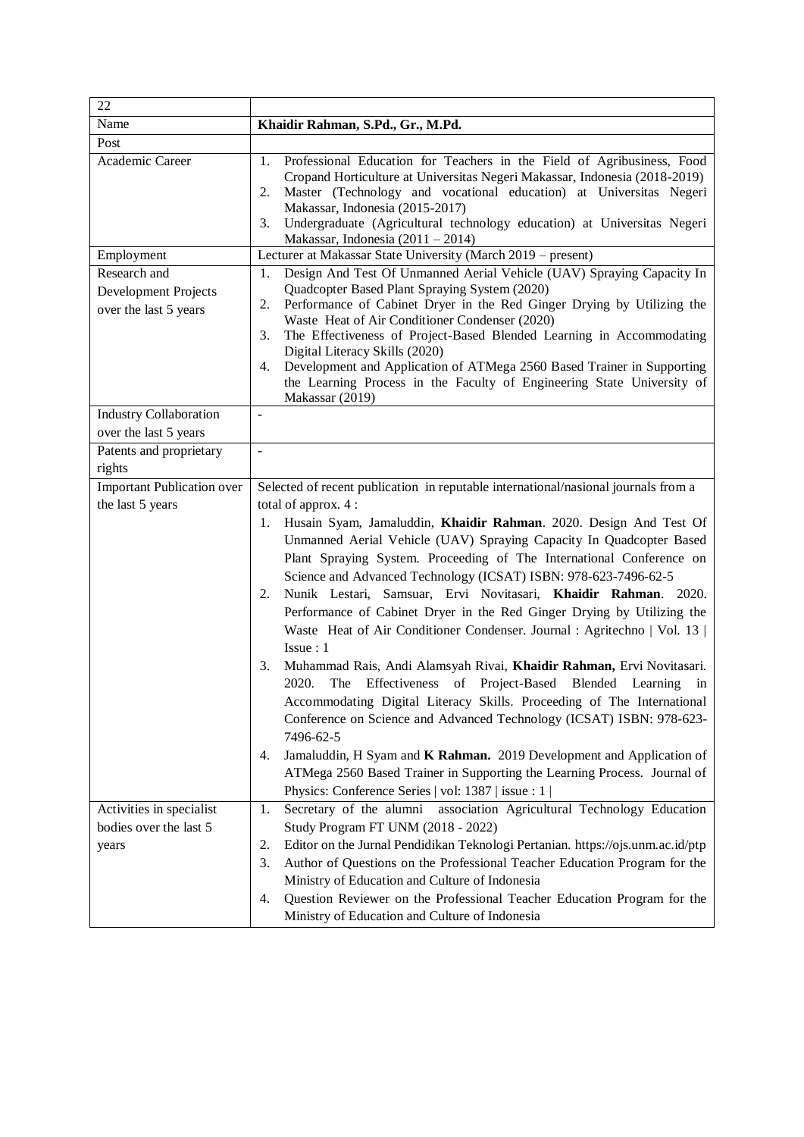| 22                                                            |                                                                                                                                                                                                                                                                                                                                                                                                                                                                                                                                                                                                                                                                                                                                                                                                                                                                                                                                                                                                                                                                                           |
|---------------------------------------------------------------|-------------------------------------------------------------------------------------------------------------------------------------------------------------------------------------------------------------------------------------------------------------------------------------------------------------------------------------------------------------------------------------------------------------------------------------------------------------------------------------------------------------------------------------------------------------------------------------------------------------------------------------------------------------------------------------------------------------------------------------------------------------------------------------------------------------------------------------------------------------------------------------------------------------------------------------------------------------------------------------------------------------------------------------------------------------------------------------------|
| Name                                                          | Khaidir Rahman, S.Pd., Gr., M.Pd.                                                                                                                                                                                                                                                                                                                                                                                                                                                                                                                                                                                                                                                                                                                                                                                                                                                                                                                                                                                                                                                         |
| Post                                                          |                                                                                                                                                                                                                                                                                                                                                                                                                                                                                                                                                                                                                                                                                                                                                                                                                                                                                                                                                                                                                                                                                           |
| Academic Career                                               | Professional Education for Teachers in the Field of Agribusiness, Food<br>1.<br>Cropand Horticulture at Universitas Negeri Makassar, Indonesia (2018-2019)<br>Master (Technology and vocational education) at Universitas Negeri<br>2.<br>Makassar, Indonesia (2015-2017)<br>Undergraduate (Agricultural technology education) at Universitas Negeri<br>3.<br>Makassar, Indonesia $(2011 – 2014)$                                                                                                                                                                                                                                                                                                                                                                                                                                                                                                                                                                                                                                                                                         |
| Employment                                                    | Lecturer at Makassar State University (March 2019 - present)                                                                                                                                                                                                                                                                                                                                                                                                                                                                                                                                                                                                                                                                                                                                                                                                                                                                                                                                                                                                                              |
| Research and<br>Development Projects<br>over the last 5 years | Design And Test Of Unmanned Aerial Vehicle (UAV) Spraying Capacity In<br>1.<br>Quadcopter Based Plant Spraying System (2020)<br>Performance of Cabinet Dryer in the Red Ginger Drying by Utilizing the<br>2.<br>Waste Heat of Air Conditioner Condenser (2020)<br>The Effectiveness of Project-Based Blended Learning in Accommodating<br>3.<br>Digital Literacy Skills (2020)<br>Development and Application of ATMega 2560 Based Trainer in Supporting<br>4.<br>the Learning Process in the Faculty of Engineering State University of<br>Makassar (2019)                                                                                                                                                                                                                                                                                                                                                                                                                                                                                                                               |
| <b>Industry Collaboration</b>                                 | $\blacksquare$                                                                                                                                                                                                                                                                                                                                                                                                                                                                                                                                                                                                                                                                                                                                                                                                                                                                                                                                                                                                                                                                            |
| over the last 5 years                                         |                                                                                                                                                                                                                                                                                                                                                                                                                                                                                                                                                                                                                                                                                                                                                                                                                                                                                                                                                                                                                                                                                           |
| Patents and proprietary                                       | $\overline{a}$                                                                                                                                                                                                                                                                                                                                                                                                                                                                                                                                                                                                                                                                                                                                                                                                                                                                                                                                                                                                                                                                            |
| rights                                                        |                                                                                                                                                                                                                                                                                                                                                                                                                                                                                                                                                                                                                                                                                                                                                                                                                                                                                                                                                                                                                                                                                           |
| <b>Important Publication over</b>                             | Selected of recent publication in reputable international/nasional journals from a                                                                                                                                                                                                                                                                                                                                                                                                                                                                                                                                                                                                                                                                                                                                                                                                                                                                                                                                                                                                        |
| the last 5 years                                              | total of approx. 4 :<br>1. Husain Syam, Jamaluddin, Khaidir Rahman. 2020. Design And Test Of<br>Unmanned Aerial Vehicle (UAV) Spraying Capacity In Quadcopter Based<br>Plant Spraying System. Proceeding of The International Conference on<br>Science and Advanced Technology (ICSAT) ISBN: 978-623-7496-62-5<br>Nunik Lestari, Samsuar, Ervi Novitasari, Khaidir Rahman. 2020.<br>2.<br>Performance of Cabinet Dryer in the Red Ginger Drying by Utilizing the<br>Waste Heat of Air Conditioner Condenser. Journal : Agritechno   Vol. 13  <br>Issue: 1<br>Muhammad Rais, Andi Alamsyah Rivai, Khaidir Rahman, Ervi Novitasari.<br>3.<br>The Effectiveness of Project-Based Blended Learning in<br>2020.<br>Accommodating Digital Literacy Skills. Proceeding of The International<br>Conference on Science and Advanced Technology (ICSAT) ISBN: 978-623-<br>7496-62-5<br>Jamaluddin, H Syam and K Rahman. 2019 Development and Application of<br>4.<br>ATMega 2560 Based Trainer in Supporting the Learning Process. Journal of<br>Physics: Conference Series   vol: 1387   issue : 1 |
| Activities in specialist<br>bodies over the last 5<br>years   | Secretary of the alumni association Agricultural Technology Education<br>1.<br>Study Program FT UNM (2018 - 2022)<br>Editor on the Jurnal Pendidikan Teknologi Pertanian. https://ojs.unm.ac.id/ptp<br>2.<br>Author of Questions on the Professional Teacher Education Program for the<br>3.<br>Ministry of Education and Culture of Indonesia<br>Question Reviewer on the Professional Teacher Education Program for the<br>4.                                                                                                                                                                                                                                                                                                                                                                                                                                                                                                                                                                                                                                                           |
|                                                               | Ministry of Education and Culture of Indonesia                                                                                                                                                                                                                                                                                                                                                                                                                                                                                                                                                                                                                                                                                                                                                                                                                                                                                                                                                                                                                                            |